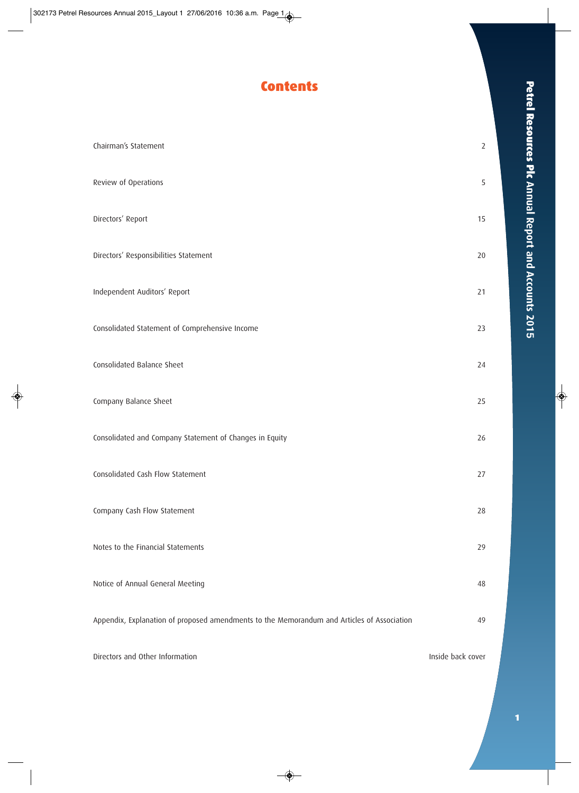# **Contents**

| Chairman's Statement                                                                       | $\overline{2}$    |
|--------------------------------------------------------------------------------------------|-------------------|
| Review of Operations                                                                       | 5                 |
| Directors' Report                                                                          | 15                |
| Directors' Responsibilities Statement                                                      | 20                |
| Independent Auditors' Report                                                               | 21                |
| Consolidated Statement of Comprehensive Income                                             | 23                |
| Consolidated Balance Sheet                                                                 | 24                |
| Company Balance Sheet                                                                      | 25                |
| Consolidated and Company Statement of Changes in Equity                                    | 26                |
| Consolidated Cash Flow Statement                                                           | 27                |
| Company Cash Flow Statement                                                                | 28                |
| Notes to the Financial Statements                                                          | 29                |
| Notice of Annual General Meeting                                                           | 48                |
| Appendix, Explanation of proposed amendments to the Memorandum and Articles of Association | 49                |
| Directors and Other Information                                                            | Inside back cover |

 $\overline{\bullet}$ 

 $\frac{1}{\sqrt{2}}$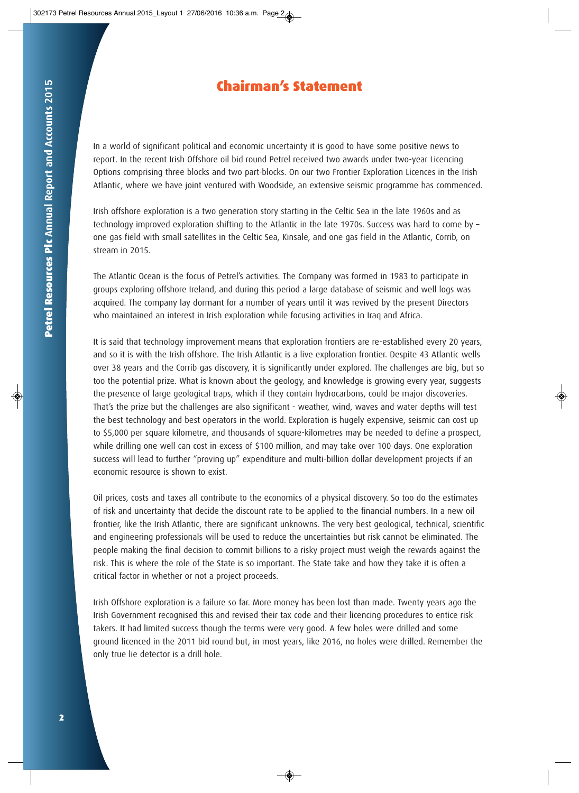# Chairman's Statement

In a world of significant political and economic uncertainty it is good to have some positive news to report. In the recent Irish Offshore oil bid round Petrel received two awards under two-year Licencing Options comprising three blocks and two part-blocks. On our two Frontier Exploration Licences in the Irish Atlantic, where we have joint ventured with Woodside, an extensive seismic programme has commenced.

Irish offshore exploration is a two generation story starting in the Celtic Sea in the late 1960s and as technology improved exploration shifting to the Atlantic in the late 1970s. Success was hard to come by – one gas field with small satellites in the Celtic Sea, Kinsale, and one gas field in the Atlantic, Corrib, on stream in 2015.

The Atlantic Ocean is the focus of Petrel's activities. The Company was formed in 1983 to participate in groups exploring offshore Ireland, and during this period a large database of seismic and well logs was acquired. The company lay dormant for a number of years until it was revived by the present Directors who maintained an interest in Irish exploration while focusing activities in Iraq and Africa.

It is said that technology improvement means that exploration frontiers are re-established every 20 years, and so it is with the Irish offshore. The Irish Atlantic is a live exploration frontier. Despite 43 Atlantic wells over 38 years and the Corrib gas discovery, it is significantly under explored. The challenges are big, but so too the potential prize. What is known about the geology, and knowledge is growing every year, suggests the presence of large geological traps, which if they contain hydrocarbons, could be major discoveries. That's the prize but the challenges are also significant - weather, wind, waves and water depths will test the best technology and best operators in the world. Exploration is hugely expensive, seismic can cost up to \$5,000 per square kilometre, and thousands of square-kilometres may be needed to define a prospect, while drilling one well can cost in excess of \$100 million, and may take over 100 days. One exploration success will lead to further "proving up" expenditure and multi-billion dollar development projects if an economic resource is shown to exist.

Oil prices, costs and taxes all contribute to the economics of a physical discovery. So too do the estimates of risk and uncertainty that decide the discount rate to be applied to the financial numbers. In a new oil frontier, like the Irish Atlantic, there are significant unknowns. The very best geological, technical, scientific and engineering professionals will be used to reduce the uncertainties but risk cannot be eliminated. The people making the final decision to commit billions to a risky project must weigh the rewards against the risk. This is where the role of the State is so important. The State take and how they take it is often a critical factor in whether or not a project proceeds.

Irish Offshore exploration is a failure so far. More money has been lost than made. Twenty years ago the Irish Government recognised this and revised their tax code and their licencing procedures to entice risk takers. It had limited success though the terms were very good. A few holes were drilled and some ground licenced in the 2011 bid round but, in most years, like 2016, no holes were drilled. Remember the only true lie detector is a drill hole.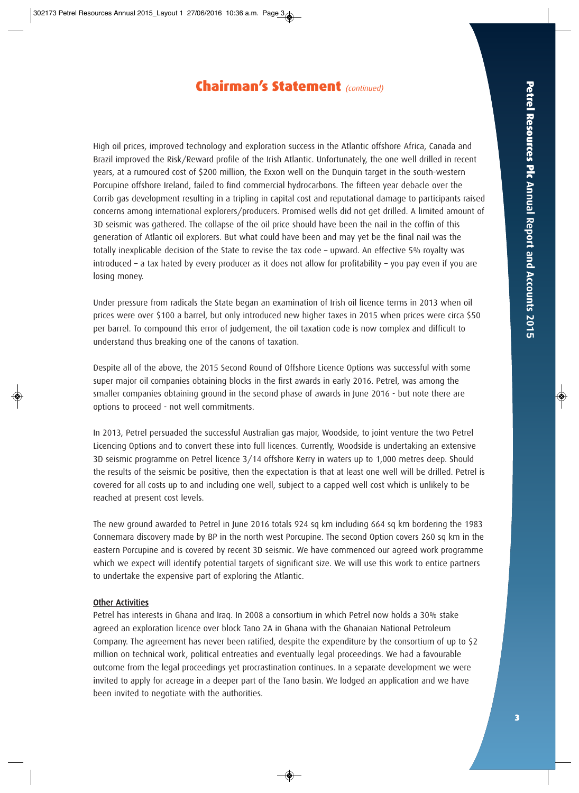# Chairman's Statement (continued)

High oil prices, improved technology and exploration success in the Atlantic offshore Africa, Canada and Brazil improved the Risk/Reward profile of the Irish Atlantic. Unfortunately, the one well drilled in recent years, at a rumoured cost of \$200 million, the Exxon well on the Dunquin target in the south-western Porcupine offshore Ireland, failed to find commercial hydrocarbons. The fifteen year debacle over the Corrib gas development resulting in a tripling in capital cost and reputational damage to participants raised concerns among international explorers/producers. Promised wells did not get drilled. A limited amount of 3D seismic was gathered. The collapse of the oil price should have been the nail in the coffin of this generation of Atlantic oil explorers. But what could have been and may yet be the final nail was the totally inexplicable decision of the State to revise the tax code – upward. An effective 5% royalty was introduced – a tax hated by every producer as it does not allow for profitability – you pay even if you are losing money.

Under pressure from radicals the State began an examination of Irish oil licence terms in 2013 when oil prices were over \$100 a barrel, but only introduced new higher taxes in 2015 when prices were circa \$50 per barrel. To compound this error of judgement, the oil taxation code is now complex and difficult to understand thus breaking one of the canons of taxation.

Despite all of the above, the 2015 Second Round of Offshore Licence Options was successful with some super major oil companies obtaining blocks in the first awards in early 2016. Petrel, was among the smaller companies obtaining ground in the second phase of awards in June 2016 - but note there are options to proceed - not well commitments.

In 2013, Petrel persuaded the successful Australian gas major, Woodside, to joint venture the two Petrel Licencing Options and to convert these into full licences. Currently, Woodside is undertaking an extensive 3D seismic programme on Petrel licence 3/14 offshore Kerry in waters up to 1,000 metres deep. Should the results of the seismic be positive, then the expectation is that at least one well will be drilled. Petrel is covered for all costs up to and including one well, subject to a capped well cost which is unlikely to be reached at present cost levels.

The new ground awarded to Petrel in June 2016 totals 924 sq km including 664 sq km bordering the 1983 Connemara discovery made by BP in the north west Porcupine. The second Option covers 260 sq km in the eastern Porcupine and is covered by recent 3D seismic. We have commenced our agreed work programme which we expect will identify potential targets of significant size. We will use this work to entice partners to undertake the expensive part of exploring the Atlantic.

#### Other Activities

Petrel has interests in Ghana and Iraq. In 2008 a consortium in which Petrel now holds a 30% stake agreed an exploration licence over block Tano 2A in Ghana with the Ghanaian National Petroleum Company. The agreement has never been ratified, despite the expenditure by the consortium of up to \$2 million on technical work, political entreaties and eventually legal proceedings. We had a favourable outcome from the legal proceedings yet procrastination continues. In a separate development we were invited to apply for acreage in a deeper part of the Tano basin. We lodged an application and we have been invited to negotiate with the authorities.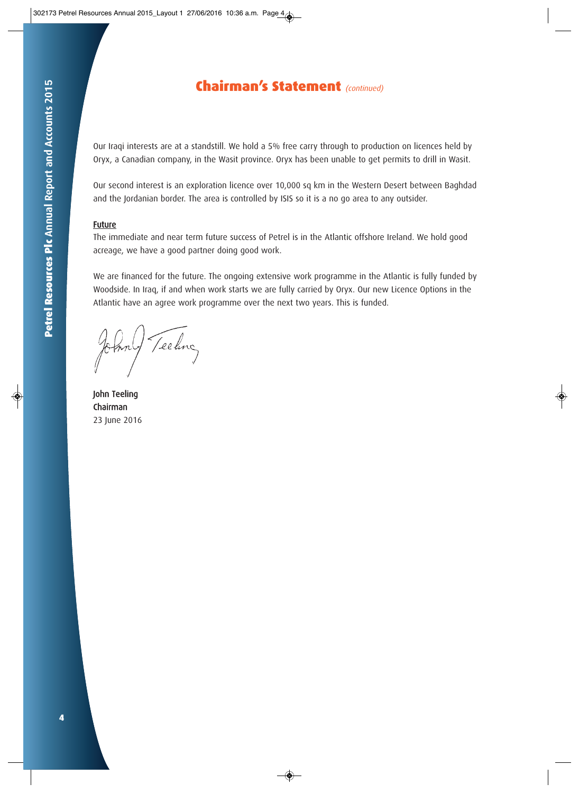# Chairman's Statement (continued)

Our Iraqi interests are at a standstill. We hold a 5% free carry through to production on licences held by Oryx, a Canadian company, in the Wasit province. Oryx has been unable to get permits to drill in Wasit.

Our second interest is an exploration licence over 10,000 sq km in the Western Desert between Baghdad and the Jordanian border. The area is controlled by ISIS so it is a no go area to any outsider.

#### Future

The immediate and near term future success of Petrel is in the Atlantic offshore Ireland. We hold good acreage, we have a good partner doing good work.

We are financed for the future. The ongoing extensive work programme in the Atlantic is fully funded by Woodside. In Iraq, if and when work starts we are fully carried by Oryx. Our new Licence Options in the Atlantic have an agree work programme over the next two years. This is funded.

◈

Techno

John Teeling Chairman 23 June 2016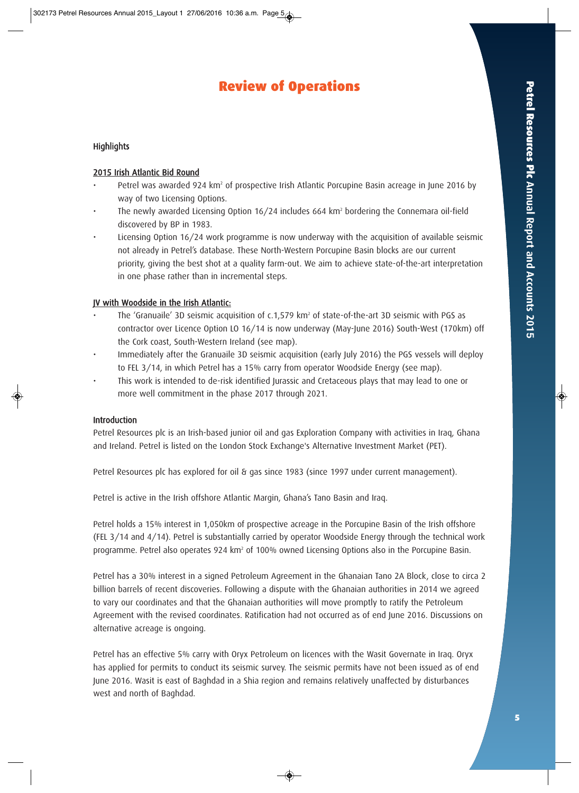# Review of Operations

#### **Highlights**

#### 2015 Irish Atlantic Bid Round

- Petrel was awarded 924 km<sup>2</sup> of prospective Irish Atlantic Porcupine Basin acreage in June 2016 by way of two Licensing Options.
- The newly awarded Licensing Option  $16/24$  includes 664 km<sup>2</sup> bordering the Connemara oil-field discovered by BP in 1983.
- Licensing Option 16/24 work programme is now underway with the acquisition of available seismic not already in Petrel's database. These North-Western Porcupine Basin blocks are our current priority, giving the best shot at a quality farm-out. We aim to achieve state-of-the-art interpretation in one phase rather than in incremental steps.

#### JV with Woodside in the Irish Atlantic:

- The 'Granuaile' 3D seismic acquisition of c.1,579 km<sup>2</sup> of state-of-the-art 3D seismic with PGS as contractor over Licence Option LO 16/14 is now underway (May-June 2016) South-West (170km) off the Cork coast, South-Western Ireland (see map).
- Immediately after the Granuaile 3D seismic acquisition (early July 2016) the PGS vessels will deploy to FEL 3/14, in which Petrel has a 15% carry from operator Woodside Energy (see map).
- This work is intended to de-risk identified Jurassic and Cretaceous plays that may lead to one or more well commitment in the phase 2017 through 2021.

#### Introduction

Petrel Resources plc is an Irish-based junior oil and gas Exploration Company with activities in Iraq, Ghana and Ireland. Petrel is listed on the London Stock Exchange's Alternative Investment Market (PET).

Petrel Resources plc has explored for oil & gas since 1983 (since 1997 under current management).

Petrel is active in the Irish offshore Atlantic Margin, Ghana's Tano Basin and Iraq.

Petrel holds a 15% interest in 1,050km of prospective acreage in the Porcupine Basin of the Irish offshore (FEL 3/14 and 4/14). Petrel is substantially carried by operator Woodside Energy through the technical work programme. Petrel also operates 924 km<sup>2</sup> of 100% owned Licensing Options also in the Porcupine Basin.

Petrel has a 30% interest in a signed Petroleum Agreement in the Ghanaian Tano 2A Block, close to circa 2 billion barrels of recent discoveries. Following a dispute with the Ghanaian authorities in 2014 we agreed to vary our coordinates and that the Ghanaian authorities will move promptly to ratify the Petroleum Agreement with the revised coordinates. Ratification had not occurred as of end June 2016. Discussions on alternative acreage is ongoing.

Petrel has an effective 5% carry with Oryx Petroleum on licences with the Wasit Governate in Iraq. Oryx has applied for permits to conduct its seismic survey. The seismic permits have not been issued as of end June 2016. Wasit is east of Baghdad in a Shia region and remains relatively unaffected by disturbances west and north of Baghdad.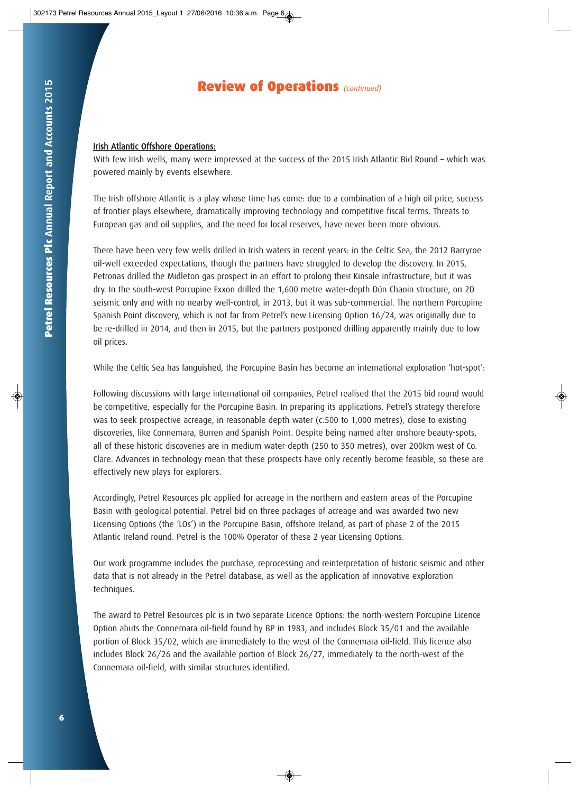#### Irish Atlantic Offshore Operations:

With few Irish wells, many were impressed at the success of the 2015 Irish Atlantic Bid Round - which was powered mainly by events elsewhere.

The Irish offshore Atlantic is a play whose time has come: due to a combination of a high oil price, success of frontier plays elsewhere, dramatically improving technology and competitive fiscal terms. Threats to European gas and oil supplies, and the need for local reserves, have never been more obvious.

There have been very few wells drilled in Irish waters in recent years: in the Celtic Sea, the 2012 Barryroe oil-well exceeded expectations, though the partners have struggled to develop the discovery. In 2015, Petronas drilled the Midleton gas prospect in an effort to prolong their Kinsale infrastructure, but it was dry. In the south-west Porcupine Exxon drilled the 1,600 metre water-depth Dún Chaoin structure, on 2D seismic only and with no nearby well-control, in 2013, but it was sub-commercial. The northern Porcupine Spanish Point discovery, which is not far from Petrel's new Licensing Option 16/24, was originally due to be re-drilled in 2014, and then in 2015, but the partners postponed drilling apparently mainly due to low oil prices.

While the Celtic Sea has languished, the Porcupine Basin has become an international exploration 'hot-spot':

Following discussions with large international oil companies, Petrel realised that the 2015 bid round would be competitive, especially for the Porcupine Basin. In preparing its applications, Petrel's strategy therefore was to seek prospective acreage, in reasonable depth water (c.500 to 1,000 metres), close to existing discoveries, like Connemara, Burren and Spanish Point. Despite being named after onshore beauty-spots, all of these historic discoveries are in medium water-depth (250 to 350 metres), over 200km west of Co. Clare. Advances in technology mean that these prospects have only recently become feasible, so these are effectively new plays for explorers.

Accordingly, Petrel Resources plc applied for acreage in the northern and eastern areas of the Porcupine Basin with geological potential. Petrel bid on three packages of acreage and was awarded two new Licensing Options (the 'LOs') in the Porcupine Basin, offshore Ireland, as part of phase 2 of the 2015 Atlantic Ireland round. Petrel is the 100% Operator of these 2 year Licensing Options.

Our work programme includes the purchase, reprocessing and reinterpretation of historic seismic and other data that is not already in the Petrel database, as well as the application of innovative exploration techniques.

The award to Petrel Resources plc is in two separate Licence Options: the north-western Porcupine Licence Option abuts the Connemara oil-field found by BP in 1983, and includes Block 35/01 and the available portion of Block 35/02, which are immediately to the west of the Connemara oil-field. This licence also includes Block 26/26 and the available portion of Block 26/27, immediately to the north-west of the Connemara oil-field, with similar structures identified.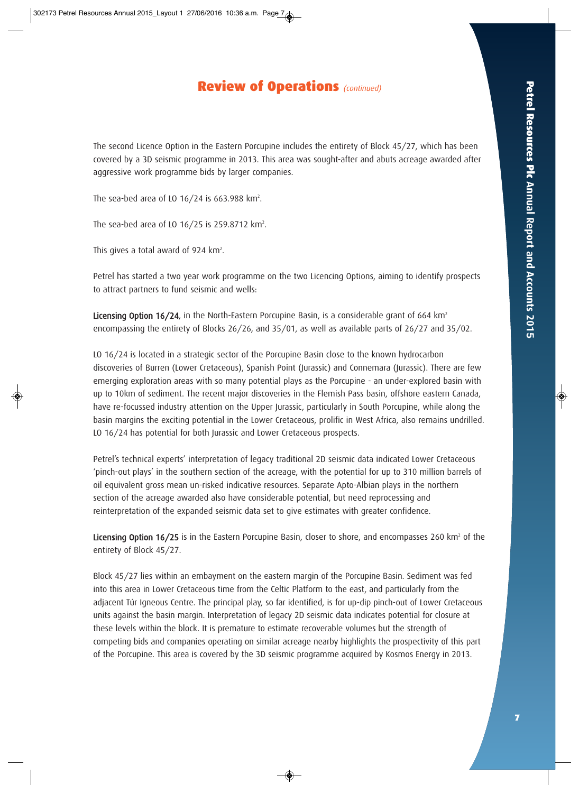The second Licence Option in the Eastern Porcupine includes the entirety of Block 45/27, which has been covered by a 3D seismic programme in 2013. This area was sought-after and abuts acreage awarded after aggressive work programme bids by larger companies.

The sea-bed area of LO 16/24 is 663.988 km<sup>2</sup>.

The sea-bed area of LO 16/25 is 259.8712  $\text{km}^2$ .

This gives a total award of 924  $km^2$ .

Petrel has started a two year work programme on the two Licencing Options, aiming to identify prospects to attract partners to fund seismic and wells:

Licensing Option 16/24, in the North-Eastern Porcupine Basin, is a considerable grant of 664  $km^2$ encompassing the entirety of Blocks 26/26, and 35/01, as well as available parts of 26/27 and 35/02.

LO 16/24 is located in a strategic sector of the Porcupine Basin close to the known hydrocarbon discoveries of Burren (Lower Cretaceous), Spanish Point (Jurassic) and Connemara (Jurassic). There are few emerging exploration areas with so many potential plays as the Porcupine - an under-explored basin with up to 10km of sediment. The recent major discoveries in the Flemish Pass basin, offshore eastern Canada, have re-focussed industry attention on the Upper Jurassic, particularly in South Porcupine, while along the basin margins the exciting potential in the Lower Cretaceous, prolific in West Africa, also remains undrilled. LO 16/24 has potential for both Jurassic and Lower Cretaceous prospects.

Petrel's technical experts' interpretation of legacy traditional 2D seismic data indicated Lower Cretaceous 'pinch-out plays' in the southern section of the acreage, with the potential for up to 310 million barrels of oil equivalent gross mean un-risked indicative resources. Separate Apto-Albian plays in the northern section of the acreage awarded also have considerable potential, but need reprocessing and reinterpretation of the expanded seismic data set to give estimates with greater confidence.

Licensing Option 16/25 is in the Eastern Porcupine Basin, closer to shore, and encompasses 260 km<sup>2</sup> of the entirety of Block 45/27.

Block 45/27 lies within an embayment on the eastern margin of the Porcupine Basin. Sediment was fed into this area in Lower Cretaceous time from the Celtic Platform to the east, and particularly from the adjacent Túr Igneous Centre. The principal play, so far identified, is for up-dip pinch-out of Lower Cretaceous units against the basin margin. Interpretation of legacy 2D seismic data indicates potential for closure at these levels within the block. It is premature to estimate recoverable volumes but the strength of competing bids and companies operating on similar acreage nearby highlights the prospectivity of this part of the Porcupine. This area is covered by the 3D seismic programme acquired by Kosmos Energy in 2013.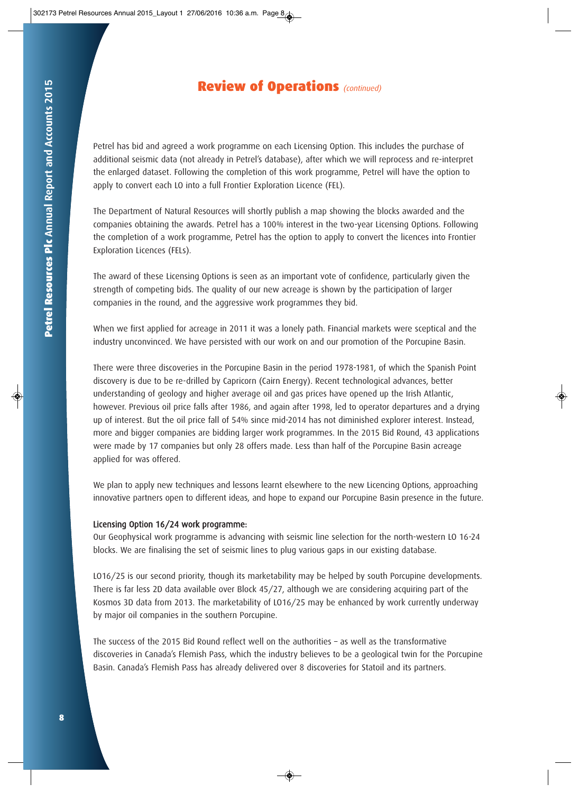Petrel has bid and agreed a work programme on each Licensing Option. This includes the purchase of additional seismic data (not already in Petrel's database), after which we will reprocess and re-interpret the enlarged dataset. Following the completion of this work programme, Petrel will have the option to apply to convert each LO into a full Frontier Exploration Licence (FEL).

The Department of Natural Resources will shortly publish a map showing the blocks awarded and the companies obtaining the awards. Petrel has a 100% interest in the two-year Licensing Options. Following the completion of a work programme, Petrel has the option to apply to convert the licences into Frontier Exploration Licences (FELs).

The award of these Licensing Options is seen as an important vote of confidence, particularly given the strength of competing bids. The quality of our new acreage is shown by the participation of larger companies in the round, and the aggressive work programmes they bid.

When we first applied for acreage in 2011 it was a lonely path. Financial markets were sceptical and the industry unconvinced. We have persisted with our work on and our promotion of the Porcupine Basin.

There were three discoveries in the Porcupine Basin in the period 1978-1981, of which the Spanish Point discovery is due to be re-drilled by Capricorn (Cairn Energy). Recent technological advances, better understanding of geology and higher average oil and gas prices have opened up the Irish Atlantic, however. Previous oil price falls after 1986, and again after 1998, led to operator departures and a drying up of interest. But the oil price fall of 54% since mid-2014 has not diminished explorer interest. Instead, more and bigger companies are bidding larger work programmes. In the 2015 Bid Round, 43 applications were made by 17 companies but only 28 offers made. Less than half of the Porcupine Basin acreage applied for was offered.

We plan to apply new techniques and lessons learnt elsewhere to the new Licencing Options, approaching innovative partners open to different ideas, and hope to expand our Porcupine Basin presence in the future.

#### Licensing Option 16/24 work programme:

Our Geophysical work programme is advancing with seismic line selection for the north-western LO 16-24 blocks. We are finalising the set of seismic lines to plug various gaps in our existing database.

LO16/25 is our second priority, though its marketability may be helped by south Porcupine developments. There is far less 2D data available over Block 45/27, although we are considering acquiring part of the Kosmos 3D data from 2013. The marketability of LO16/25 may be enhanced by work currently underway by major oil companies in the southern Porcupine.

The success of the 2015 Bid Round reflect well on the authorities – as well as the transformative discoveries in Canada's Flemish Pass, which the industry believes to be a geological twin for the Porcupine Basin. Canada's Flemish Pass has already delivered over 8 discoveries for Statoil and its partners.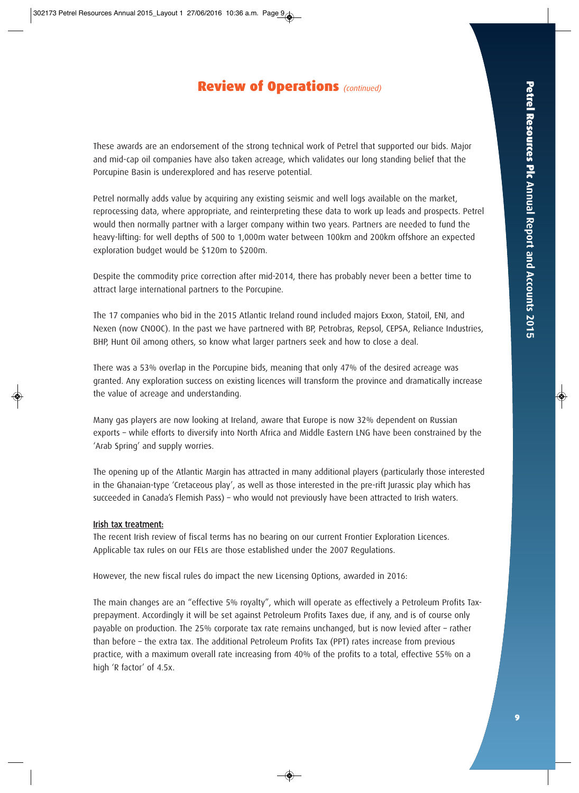These awards are an endorsement of the strong technical work of Petrel that supported our bids. Major and mid-cap oil companies have also taken acreage, which validates our long standing belief that the Porcupine Basin is underexplored and has reserve potential.

Petrel normally adds value by acquiring any existing seismic and well logs available on the market, reprocessing data, where appropriate, and reinterpreting these data to work up leads and prospects. Petrel would then normally partner with a larger company within two years. Partners are needed to fund the heavy-lifting: for well depths of 500 to 1,000m water between 100km and 200km offshore an expected exploration budget would be \$120m to \$200m.

Despite the commodity price correction after mid-2014, there has probably never been a better time to attract large international partners to the Porcupine.

The 17 companies who bid in the 2015 Atlantic Ireland round included majors Exxon, Statoil, ENI, and Nexen (now CNOOC). In the past we have partnered with BP, Petrobras, Repsol, CEPSA, Reliance Industries, BHP, Hunt Oil among others, so know what larger partners seek and how to close a deal.

There was a 53% overlap in the Porcupine bids, meaning that only 47% of the desired acreage was granted. Any exploration success on existing licences will transform the province and dramatically increase the value of acreage and understanding.

Many gas players are now looking at Ireland, aware that Europe is now 32% dependent on Russian exports – while efforts to diversify into North Africa and Middle Eastern LNG have been constrained by the 'Arab Spring' and supply worries.

The opening up of the Atlantic Margin has attracted in many additional players (particularly those interested in the Ghanaian-type 'Cretaceous play', as well as those interested in the pre-rift Jurassic play which has succeeded in Canada's Flemish Pass) – who would not previously have been attracted to Irish waters.

#### Irish tax treatment:

The recent Irish review of fiscal terms has no bearing on our current Frontier Exploration Licences. Applicable tax rules on our FELs are those established under the 2007 Regulations.

However, the new fiscal rules do impact the new Licensing Options, awarded in 2016:

The main changes are an "effective 5% royalty", which will operate as effectively a Petroleum Profits Taxprepayment. Accordingly it will be set against Petroleum Profits Taxes due, if any, and is of course only payable on production. The 25% corporate tax rate remains unchanged, but is now levied after – rather than before – the extra tax. The additional Petroleum Profits Tax (PPT) rates increase from previous practice, with a maximum overall rate increasing from 40% of the profits to a total, effective 55% on a high 'R factor' of 4.5x.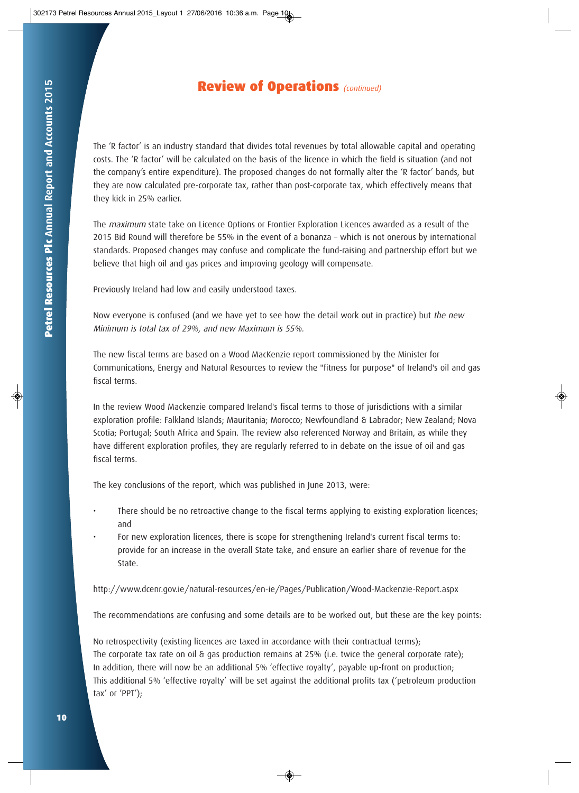The 'R factor' is an industry standard that divides total revenues by total allowable capital and operating costs. The 'R factor' will be calculated on the basis of the licence in which the field is situation (and not the company's entire expenditure). The proposed changes do not formally alter the 'R factor' bands, but they are now calculated pre-corporate tax, rather than post-corporate tax, which effectively means that they kick in 25% earlier.

The *maximum* state take on Licence Options or Frontier Exploration Licences awarded as a result of the 2015 Bid Round will therefore be 55% in the event of a bonanza – which is not onerous by international standards. Proposed changes may confuse and complicate the fund-raising and partnership effort but we believe that high oil and gas prices and improving geology will compensate.

Previously Ireland had low and easily understood taxes.

Now everyone is confused (and we have yet to see how the detail work out in practice) but the new Minimum is total tax of 29%, and new Maximum is 55%.

The new fiscal terms are based on a Wood MacKenzie report commissioned by the Minister for Communications, Energy and Natural Resources to review the "fitness for purpose" of Ireland's oil and gas fiscal terms.

In the review Wood Mackenzie compared Ireland's fiscal terms to those of jurisdictions with a similar exploration profile: Falkland Islands; Mauritania; Morocco; Newfoundland & Labrador; New Zealand; Nova Scotia; Portugal; South Africa and Spain. The review also referenced Norway and Britain, as while they have different exploration profiles, they are regularly referred to in debate on the issue of oil and gas fiscal terms.

The key conclusions of the report, which was published in June 2013, were:

- There should be no retroactive change to the fiscal terms applying to existing exploration licences; and
- For new exploration licences, there is scope for strengthening Ireland's current fiscal terms to: provide for an increase in the overall State take, and ensure an earlier share of revenue for the State.

http://www.dcenr.gov.ie/natural-resources/en-ie/Pages/Publication/Wood-Mackenzie-Report.aspx

The recommendations are confusing and some details are to be worked out, but these are the key points:

No retrospectivity (existing licences are taxed in accordance with their contractual terms); The corporate tax rate on oil & gas production remains at 25% (i.e. twice the general corporate rate); In addition, there will now be an additional 5% 'effective royalty', payable up-front on production; This additional 5% 'effective royalty' will be set against the additional profits tax ('petroleum production tax' or 'PPT');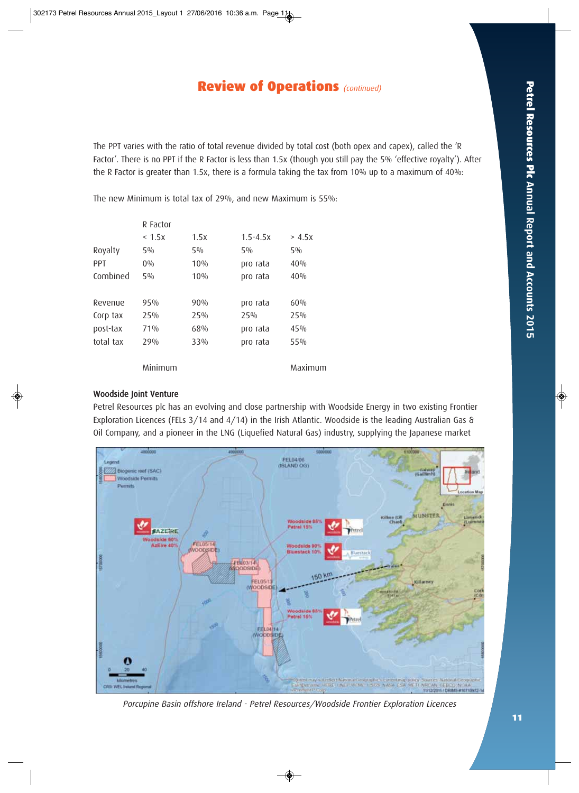The PPT varies with the ratio of total revenue divided by total cost (both opex and capex), called the 'R Factor'. There is no PPT if the R Factor is less than 1.5x (though you still pay the 5% 'effective royalty'). After the R Factor is greater than 1.5x, there is a formula taking the tax from 10% up to a maximum of 40%:

The new Minimum is total tax of 29%, and new Maximum is 55%:

|           | R Factor |       |              |         |
|-----------|----------|-------|--------------|---------|
|           | < 1.5x   | 1.5x  | $1.5 - 4.5x$ | > 4.5x  |
| Royalty   | $5\%$    | $5\%$ | $5\%$        | $5\%$   |
| PPT       | $0\%$    | 10%   | pro rata     | 40%     |
| Combined  | $5\%$    | 10%   | pro rata     | 40%     |
|           |          |       |              |         |
| Revenue   | 95%      | 90%   | pro rata     | 60%     |
| Corp tax  | 25%      | 25%   | 25%          | 25%     |
| post-tax  | 71%      | 68%   | pro rata     | 45%     |
| total tax | 29%      | 33%   | pro rata     | 55%     |
|           |          |       |              |         |
|           | Minimum  |       |              | Maximum |

#### Woodside Joint Venture

Petrel Resources plc has an evolving and close partnership with Woodside Energy in two existing Frontier Exploration Licences (FELs 3/14 and 4/14) in the Irish Atlantic. Woodside is the leading Australian Gas & Oil Company, and a pioneer in the LNG (Liquefied Natural Gas) industry, supplying the Japanese market



Porcupine Basin offshore Ireland - Petrel Resources/Woodside Frontier Exploration Licences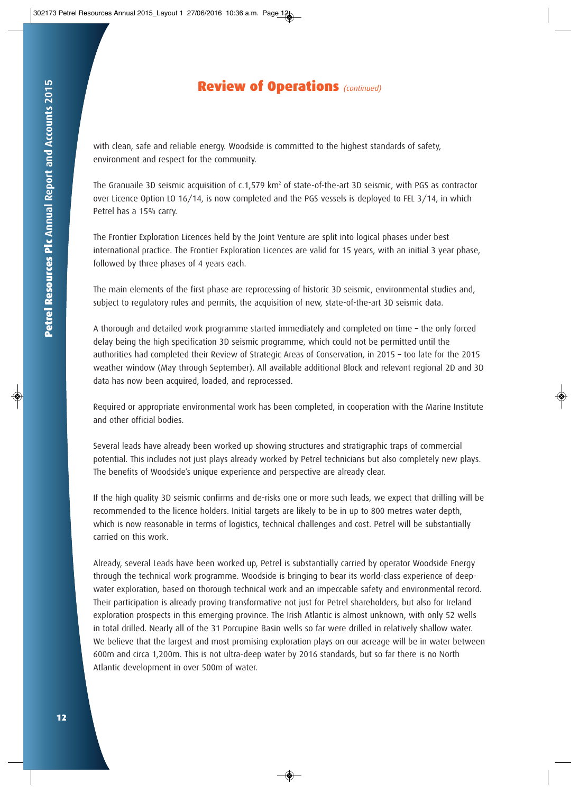with clean, safe and reliable energy. Woodside is committed to the highest standards of safety, environment and respect for the community.

The Granuaile 3D seismic acquisition of c.1,579 km<sup>2</sup> of state-of-the-art 3D seismic, with PGS as contractor over Licence Option LO 16/14, is now completed and the PGS vessels is deployed to FEL 3/14, in which Petrel has a 15% carry.

The Frontier Exploration Licences held by the Joint Venture are split into logical phases under best international practice. The Frontier Exploration Licences are valid for 15 years, with an initial 3 year phase, followed by three phases of 4 years each.

The main elements of the first phase are reprocessing of historic 3D seismic, environmental studies and, subject to regulatory rules and permits, the acquisition of new, state-of-the-art 3D seismic data.

A thorough and detailed work programme started immediately and completed on time – the only forced delay being the high specification 3D seismic programme, which could not be permitted until the authorities had completed their Review of Strategic Areas of Conservation, in 2015 – too late for the 2015 weather window (May through September). All available additional Block and relevant regional 2D and 3D data has now been acquired, loaded, and reprocessed.

Required or appropriate environmental work has been completed, in cooperation with the Marine Institute and other official bodies.

Several leads have already been worked up showing structures and stratigraphic traps of commercial potential. This includes not just plays already worked by Petrel technicians but also completely new plays. The benefits of Woodside's unique experience and perspective are already clear.

If the high quality 3D seismic confirms and de-risks one or more such leads, we expect that drilling will be recommended to the licence holders. Initial targets are likely to be in up to 800 metres water depth, which is now reasonable in terms of logistics, technical challenges and cost. Petrel will be substantially carried on this work.

Already, several Leads have been worked up, Petrel is substantially carried by operator Woodside Energy through the technical work programme. Woodside is bringing to bear its world-class experience of deepwater exploration, based on thorough technical work and an impeccable safety and environmental record. Their participation is already proving transformative not just for Petrel shareholders, but also for Ireland exploration prospects in this emerging province. The Irish Atlantic is almost unknown, with only 52 wells in total drilled. Nearly all of the 31 Porcupine Basin wells so far were drilled in relatively shallow water. We believe that the largest and most promising exploration plays on our acreage will be in water between 600m and circa 1,200m. This is not ultra-deep water by 2016 standards, but so far there is no North Atlantic development in over 500m of water.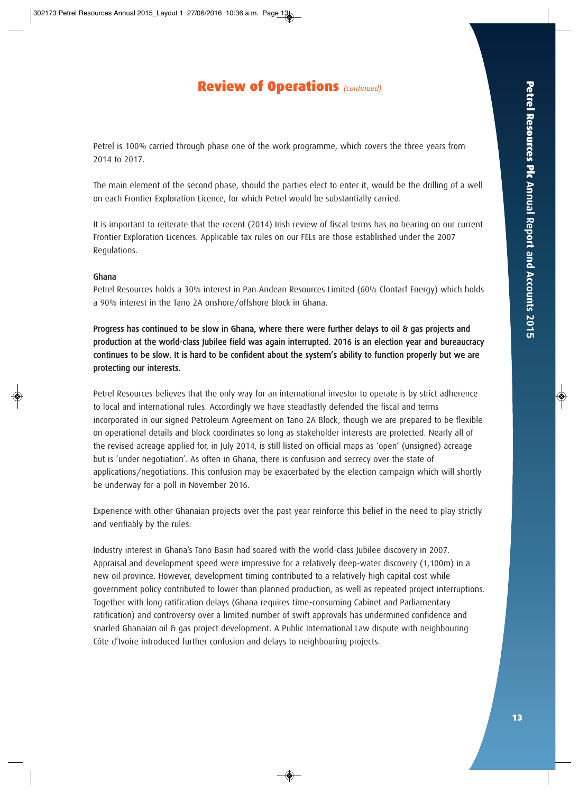Petrel is 100% carried through phase one of the work programme, which covers the three years from 2014 to 2017.

The main element of the second phase, should the parties elect to enter it, would be the drilling of a well on each Frontier Exploration Licence, for which Petrel would be substantially carried.

It is important to reiterate that the recent (2014) Irish review of fiscal terms has no bearing on our current Frontier Exploration Licences. Applicable tax rules on our FELs are those established under the 2007 Regulations.

#### Ghana

Petrel Resources holds a 30% interest in Pan Andean Resources Limited (60% Clontarf Energy) which holds a 90% interest in the Tano 2A onshore/offshore block in Ghana.

Progress has continued to be slow in Ghana, where there were further delays to oil & gas projects and production at the world-class Jubilee field was again interrupted. 2016 is an election year and bureaucracy continues to be slow. It is hard to be confident about the system's ability to function properly but we are protecting our interests.

Petrel Resources believes that the only way for an international investor to operate is by strict adherence to local and international rules. Accordingly we have steadfastly defended the fiscal and terms incorporated in our signed Petroleum Agreement on Tano 2A Block, though we are prepared to be flexible on operational details and block coordinates so long as stakeholder interests are protected. Nearly all of the revised acreage applied for, in July 2014, is still listed on official maps as 'open' (unsigned) acreage but is 'under negotiation'. As often in Ghana, there is confusion and secrecy over the state of applications/negotiations. This confusion may be exacerbated by the election campaign which will shortly be underway for a poll in November 2016.

Experience with other Ghanaian projects over the past year reinforce this belief in the need to play strictly and verifiably by the rules:

Industry interest in Ghana's Tano Basin had soared with the world-class Jubilee discovery in 2007. Appraisal and development speed were impressive for a relatively deep-water discovery (1,100m) in a new oil province. However, development timing contributed to a relatively high capital cost while government policy contributed to lower than planned production, as well as repeated project interruptions. Together with long ratification delays (Ghana requires time-consuming Cabinet and Parliamentary ratification) and controversy over a limited number of swift approvals has undermined confidence and snarled Ghanaian oil & gas project development. A Public International Law dispute with neighbouring Côte d'Ivoire introduced further confusion and delays to neighbouring projects.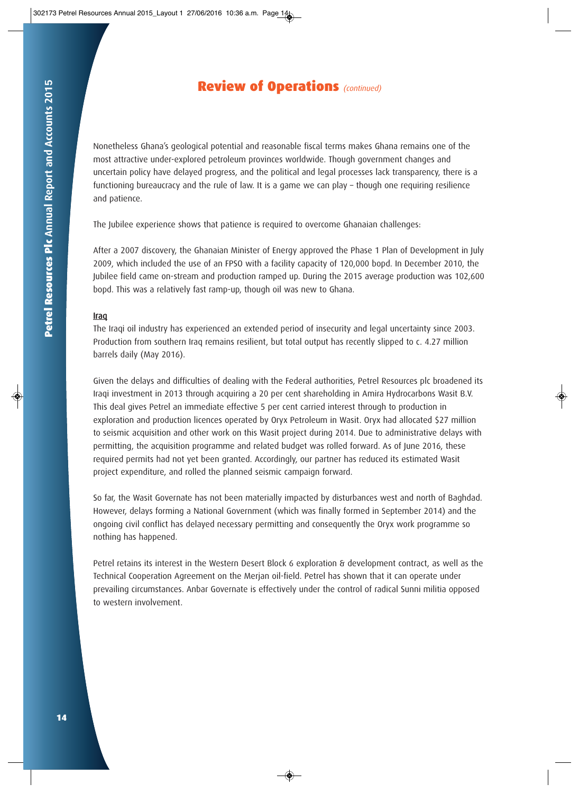Nonetheless Ghana's geological potential and reasonable fiscal terms makes Ghana remains one of the most attractive under-explored petroleum provinces worldwide. Though government changes and uncertain policy have delayed progress, and the political and legal processes lack transparency, there is a functioning bureaucracy and the rule of law. It is a game we can play – though one requiring resilience and patience.

The Jubilee experience shows that patience is required to overcome Ghanaian challenges:

After a 2007 discovery, the Ghanaian Minister of Energy approved the Phase 1 Plan of Development in July 2009, which included the use of an FPSO with a facility capacity of 120,000 bopd. In December 2010, the Jubilee field came on-stream and production ramped up. During the 2015 average production was 102,600 bopd. This was a relatively fast ramp-up, though oil was new to Ghana.

#### Iraq

The Iraqi oil industry has experienced an extended period of insecurity and legal uncertainty since 2003. Production from southern Iraq remains resilient, but total output has recently slipped to c. 4.27 million barrels daily (May 2016).

Given the delays and difficulties of dealing with the Federal authorities, Petrel Resources plc broadened its Iraqi investment in 2013 through acquiring a 20 per cent shareholding in Amira Hydrocarbons Wasit B.V. This deal gives Petrel an immediate effective 5 per cent carried interest through to production in exploration and production licences operated by Oryx Petroleum in Wasit. Oryx had allocated \$27 million to seismic acquisition and other work on this Wasit project during 2014. Due to administrative delays with permitting, the acquisition programme and related budget was rolled forward. As of June 2016, these required permits had not yet been granted. Accordingly, our partner has reduced its estimated Wasit project expenditure, and rolled the planned seismic campaign forward.

So far, the Wasit Governate has not been materially impacted by disturbances west and north of Baghdad. However, delays forming a National Government (which was finally formed in September 2014) and the ongoing civil conflict has delayed necessary permitting and consequently the Oryx work programme so nothing has happened.

Petrel retains its interest in the Western Desert Block 6 exploration & development contract, as well as the Technical Cooperation Agreement on the Merjan oil-field. Petrel has shown that it can operate under prevailing circumstances. Anbar Governate is effectively under the control of radical Sunni militia opposed to western involvement.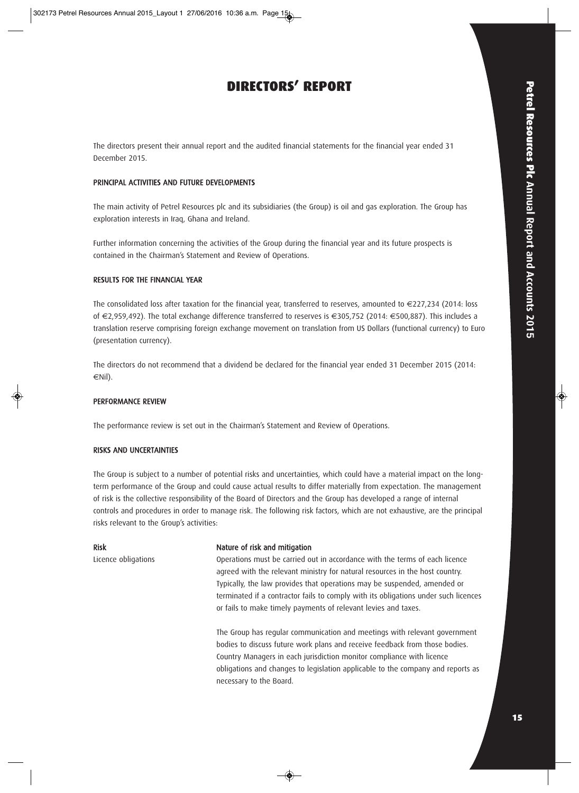# DIRECTORS' REPORT

The directors present their annual report and the audited financial statements for the financial year ended 31 December 2015.

#### PRINCIPAL ACTIVITIES AND FUTURE DEVELOPMENTS

The main activity of Petrel Resources plc and its subsidiaries (the Group) is oil and gas exploration. The Group has exploration interests in Iraq, Ghana and Ireland.

Further information concerning the activities of the Group during the financial year and its future prospects is contained in the Chairman's Statement and Review of Operations.

#### RESULTS FOR THE FINANCIAL YEAR

The consolidated loss after taxation for the financial year, transferred to reserves, amounted to €227,234 (2014: loss of €2,959,492). The total exchange difference transferred to reserves is €305,752 (2014: €500,887). This includes a translation reserve comprising foreign exchange movement on translation from US Dollars (functional currency) to Euro (presentation currency).

The directors do not recommend that a dividend be declared for the financial year ended 31 December 2015 (2014: €Nil).

#### PERFORMANCE REVIEW

The performance review is set out in the Chairman's Statement and Review of Operations.

#### RISKS AND UNCERTAINTIES

The Group is subject to a number of potential risks and uncertainties, which could have a material impact on the longterm performance of the Group and could cause actual results to differ materially from expectation. The management of risk is the collective responsibility of the Board of Directors and the Group has developed a range of internal controls and procedures in order to manage risk. The following risk factors, which are not exhaustive, are the principal risks relevant to the Group's activities:

#### Risk Nature of risk and mitigation

Licence obligations Operations must be carried out in accordance with the terms of each licence agreed with the relevant ministry for natural resources in the host country. Typically, the law provides that operations may be suspended, amended or terminated if a contractor fails to comply with its obligations under such licences or fails to make timely payments of relevant levies and taxes.

> The Group has regular communication and meetings with relevant government bodies to discuss future work plans and receive feedback from those bodies. Country Managers in each jurisdiction monitor compliance with licence obligations and changes to legislation applicable to the company and reports as necessary to the Board.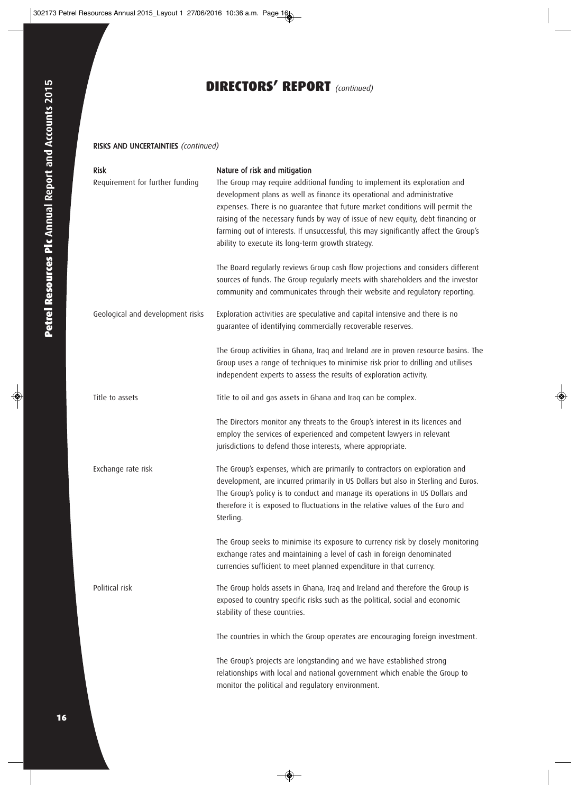#### RISKS AND UNCERTAINTIES (continued)

| <b>Risk</b><br>Requirement for further funding | Nature of risk and mitigation<br>The Group may require additional funding to implement its exploration and<br>development plans as well as finance its operational and administrative<br>expenses. There is no guarantee that future market conditions will permit the<br>raising of the necessary funds by way of issue of new equity, debt financing or<br>farming out of interests. If unsuccessful, this may significantly affect the Group's<br>ability to execute its long-term growth strategy.<br>The Board regularly reviews Group cash flow projections and considers different<br>sources of funds. The Group regularly meets with shareholders and the investor |
|------------------------------------------------|-----------------------------------------------------------------------------------------------------------------------------------------------------------------------------------------------------------------------------------------------------------------------------------------------------------------------------------------------------------------------------------------------------------------------------------------------------------------------------------------------------------------------------------------------------------------------------------------------------------------------------------------------------------------------------|
| Geological and development risks               | community and communicates through their website and regulatory reporting.<br>Exploration activities are speculative and capital intensive and there is no<br>guarantee of identifying commercially recoverable reserves.                                                                                                                                                                                                                                                                                                                                                                                                                                                   |
|                                                | The Group activities in Ghana, Iraq and Ireland are in proven resource basins. The<br>Group uses a range of techniques to minimise risk prior to drilling and utilises<br>independent experts to assess the results of exploration activity.                                                                                                                                                                                                                                                                                                                                                                                                                                |
| Title to assets                                | Title to oil and gas assets in Ghana and Iraq can be complex.                                                                                                                                                                                                                                                                                                                                                                                                                                                                                                                                                                                                               |
|                                                | The Directors monitor any threats to the Group's interest in its licences and<br>employ the services of experienced and competent lawyers in relevant<br>jurisdictions to defend those interests, where appropriate.                                                                                                                                                                                                                                                                                                                                                                                                                                                        |
| Exchange rate risk                             | The Group's expenses, which are primarily to contractors on exploration and<br>development, are incurred primarily in US Dollars but also in Sterling and Euros.<br>The Group's policy is to conduct and manage its operations in US Dollars and<br>therefore it is exposed to fluctuations in the relative values of the Euro and<br>Sterling.                                                                                                                                                                                                                                                                                                                             |
|                                                | The Group seeks to minimise its exposure to currency risk by closely monitoring<br>exchange rates and maintaining a level of cash in foreign denominated<br>currencies sufficient to meet planned expenditure in that currency.                                                                                                                                                                                                                                                                                                                                                                                                                                             |
| Political risk                                 | The Group holds assets in Ghana, Iraq and Ireland and therefore the Group is<br>exposed to country specific risks such as the political, social and economic<br>stability of these countries.                                                                                                                                                                                                                                                                                                                                                                                                                                                                               |
|                                                | The countries in which the Group operates are encouraging foreign investment.                                                                                                                                                                                                                                                                                                                                                                                                                                                                                                                                                                                               |
|                                                | The Group's projects are longstanding and we have established strong<br>relationships with local and national government which enable the Group to<br>monitor the political and regulatory environment.                                                                                                                                                                                                                                                                                                                                                                                                                                                                     |

 $\overline{\bullet}$ 

 $\bigcirc$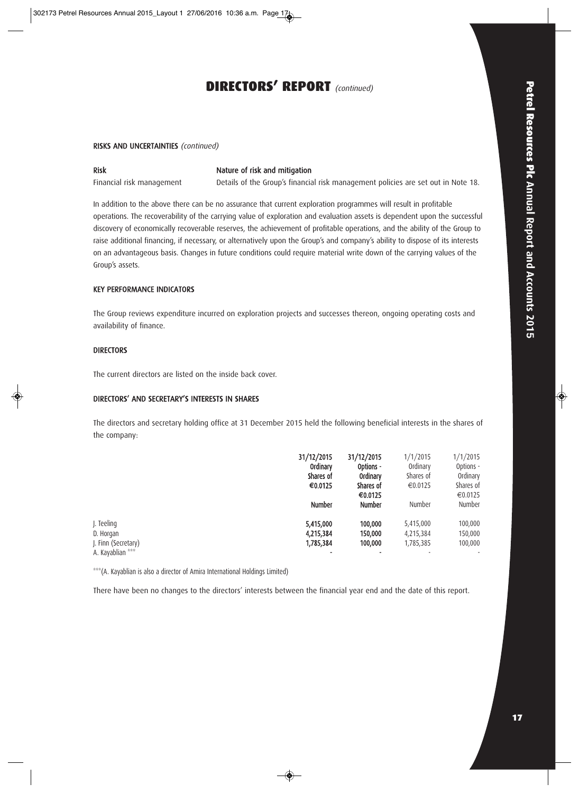#### RISKS AND UNCERTAINTIES (continued)

#### Risk Nature of risk and mitigation

Financial risk management Details of the Group's financial risk management policies are set out in Note 18.

In addition to the above there can be no assurance that current exploration programmes will result in profitable operations. The recoverability of the carrying value of exploration and evaluation assets is dependent upon the successful discovery of economically recoverable reserves, the achievement of profitable operations, and the ability of the Group to raise additional financing, if necessary, or alternatively upon the Group's and company's ability to dispose of its interests on an advantageous basis. Changes in future conditions could require material write down of the carrying values of the Group's assets.

#### KEY PERFORMANCE INDICATORS

The Group reviews expenditure incurred on exploration projects and successes thereon, ongoing operating costs and availability of finance.

#### DIRECTORS

The current directors are listed on the inside back cover.

#### DIRECTORS' AND SECRETARY'S INTERESTS IN SHARES

The directors and secretary holding office at 31 December 2015 held the following beneficial interests in the shares of the company:

|                     | 31/12/2015    | 31/12/2015    | 1/1/2015  | 1/1/2015  |
|---------------------|---------------|---------------|-----------|-----------|
|                     | Ordinary      | Options -     | Ordinary  | Options - |
|                     | Shares of     | Ordinary      | Shares of | Ordinary  |
|                     | €0.0125       | Shares of     | €0.0125   | Shares of |
|                     |               | €0.0125       |           | €0.0125   |
|                     | <b>Number</b> | <b>Number</b> | Number    | Number    |
| J. Teeling          | 5,415,000     | 100,000       | 5,415,000 | 100,000   |
| D. Horgan           | 4,215,384     | 150,000       | 4,215,384 | 150,000   |
| J. Finn (Secretary) | 1,785,384     | 100,000       | 1,785,385 | 100,000   |
| A. Kayablian ***    |               |               |           |           |

\*\*\*(A. Kayablian is also a director of Amira International Holdings Limited)

There have been no changes to the directors' interests between the financial year end and the date of this report.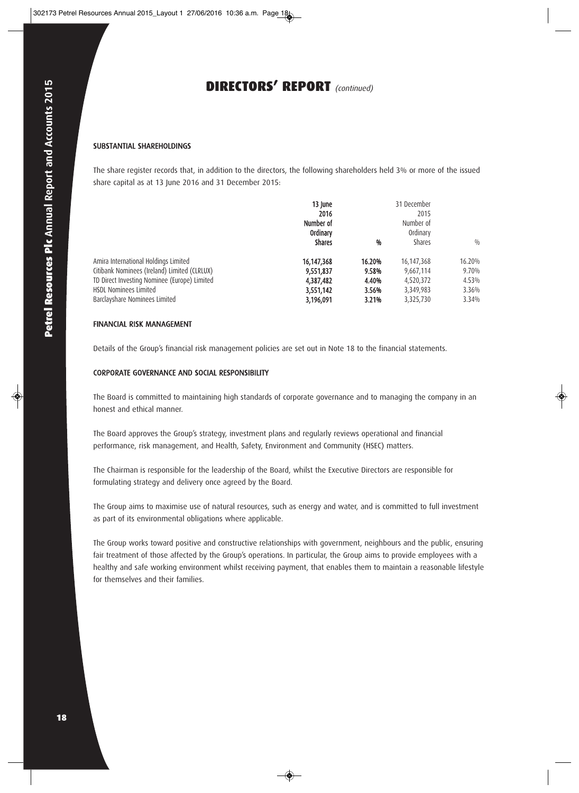#### SUBSTANTIAL SHAREHOLDINGS

The share register records that, in addition to the directors, the following shareholders held 3% or more of the issued share capital as at 13 June 2016 and 31 December 2015:

| 13 June       |        | 31 December   |        |
|---------------|--------|---------------|--------|
| 2016          |        | 2015          |        |
| Number of     |        | Number of     |        |
| Ordinary      |        | Ordinary      |        |
| <b>Shares</b> | %      | <b>Shares</b> | 0/0    |
| 16,147,368    | 16.20% | 16,147,368    | 16.20% |
| 9,551,837     | 9.58%  | 9,667,114     | 9.70%  |
| 4,387,482     | 4.40%  | 4,520,372     | 4.53%  |
| 3,551,142     | 3.56%  | 3,349,983     | 3.36%  |
| 3,196,091     | 3.21%  | 3,325,730     | 3.34%  |
|               |        |               |        |

#### FINANCIAL RISK MANAGEMENT

Details of the Group's financial risk management policies are set out in Note 18 to the financial statements.

#### CORPORATE GOVERNANCE AND SOCIAL RESPONSIBILITY

The Board is committed to maintaining high standards of corporate governance and to managing the company in an honest and ethical manner.

The Board approves the Group's strategy, investment plans and regularly reviews operational and financial performance, risk management, and Health, Safety, Environment and Community (HSEC) matters.

The Chairman is responsible for the leadership of the Board, whilst the Executive Directors are responsible for formulating strategy and delivery once agreed by the Board.

The Group aims to maximise use of natural resources, such as energy and water, and is committed to full investment as part of its environmental obligations where applicable.

The Group works toward positive and constructive relationships with government, neighbours and the public, ensuring fair treatment of those affected by the Group's operations. In particular, the Group aims to provide employees with a healthy and safe working environment whilst receiving payment, that enables them to maintain a reasonable lifestyle for themselves and their families.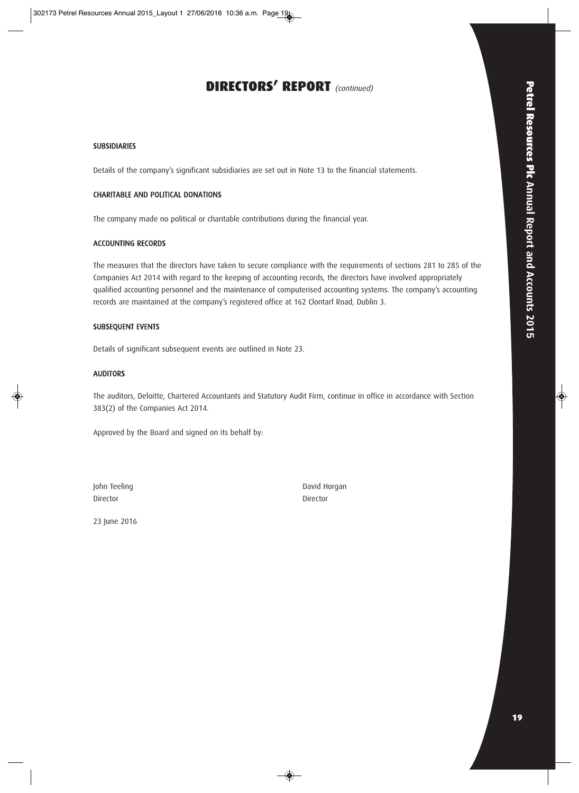#### SUBSIDIARIES

Details of the company's significant subsidiaries are set out in Note 13 to the financial statements.

#### CHARITABLE AND POLITICAL DONATIONS

The company made no political or charitable contributions during the financial year.

#### ACCOUNTING RECORDS

The measures that the directors have taken to secure compliance with the requirements of sections 281 to 285 of the Companies Act 2014 with regard to the keeping of accounting records, the directors have involved appropriately qualified accounting personnel and the maintenance of computerised accounting systems. The company's accounting records are maintained at the company's registered office at 162 Clontarf Road, Dublin 3.

#### SUBSEQUENT EVENTS

Details of significant subsequent events are outlined in Note 23.

#### AUDITORS

The auditors, Deloitte, Chartered Accountants and Statutory Audit Firm, continue in office in accordance with Section 383(2) of the Companies Act 2014.

Approved by the Board and signed on its behalf by:

Director **Director** Director

23 June 2016

John Teeling **David Horgan**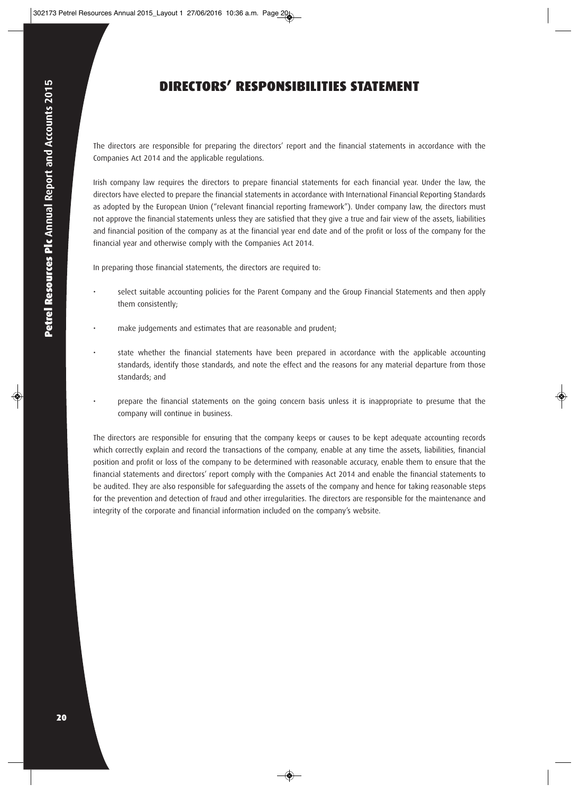# DIRECTORS' RESPONSIBILITIES STATEMENT

The directors are responsible for preparing the directors' report and the financial statements in accordance with the Companies Act 2014 and the applicable regulations.

Irish company law requires the directors to prepare financial statements for each financial year. Under the law, the directors have elected to prepare the financial statements in accordance with International Financial Reporting Standards as adopted by the European Union ("relevant financial reporting framework"). Under company law, the directors must not approve the financial statements unless they are satisfied that they give a true and fair view of the assets, liabilities and financial position of the company as at the financial year end date and of the profit or loss of the company for the financial year and otherwise comply with the Companies Act 2014.

In preparing those financial statements, the directors are required to:

- select suitable accounting policies for the Parent Company and the Group Financial Statements and then apply them consistently;
- make judgements and estimates that are reasonable and prudent:
- state whether the financial statements have been prepared in accordance with the applicable accounting standards, identify those standards, and note the effect and the reasons for any material departure from those standards; and
- prepare the financial statements on the going concern basis unless it is inappropriate to presume that the company will continue in business.

The directors are responsible for ensuring that the company keeps or causes to be kept adequate accounting records which correctly explain and record the transactions of the company, enable at any time the assets, liabilities, financial position and profit or loss of the company to be determined with reasonable accuracy, enable them to ensure that the financial statements and directors' report comply with the Companies Act 2014 and enable the financial statements to be audited. They are also responsible for safeguarding the assets of the company and hence for taking reasonable steps for the prevention and detection of fraud and other irregularities. The directors are responsible for the maintenance and integrity of the corporate and financial information included on the company's website.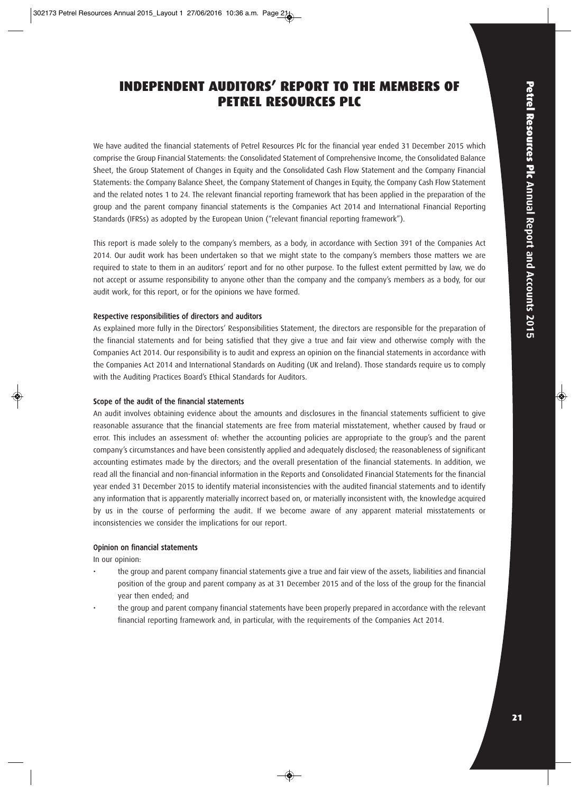# INDEPENDENT AUDITORS' REPORT TO THE MEMBERS OF PETREL RESOURCES PLC

We have audited the financial statements of Petrel Resources Plc for the financial year ended 31 December 2015 which comprise the Group Financial Statements: the Consolidated Statement of Comprehensive Income, the Consolidated Balance Sheet, the Group Statement of Changes in Equity and the Consolidated Cash Flow Statement and the Company Financial Statements: the Company Balance Sheet, the Company Statement of Changes in Equity, the Company Cash Flow Statement and the related notes 1 to 24. The relevant financial reporting framework that has been applied in the preparation of the group and the parent company financial statements is the Companies Act 2014 and International Financial Reporting Standards (IFRSs) as adopted by the European Union ("relevant financial reporting framework").

This report is made solely to the company's members, as a body, in accordance with Section 391 of the Companies Act 2014. Our audit work has been undertaken so that we might state to the company's members those matters we are required to state to them in an auditors' report and for no other purpose. To the fullest extent permitted by law, we do not accept or assume responsibility to anyone other than the company and the company's members as a body, for our audit work, for this report, or for the opinions we have formed.

#### Respective responsibilities of directors and auditors

As explained more fully in the Directors' Responsibilities Statement, the directors are responsible for the preparation of the financial statements and for being satisfied that they give a true and fair view and otherwise comply with the Companies Act 2014. Our responsibility is to audit and express an opinion on the financial statements in accordance with the Companies Act 2014 and International Standards on Auditing (UK and Ireland). Those standards require us to comply with the Auditing Practices Board's Ethical Standards for Auditors.

#### Scope of the audit of the financial statements

An audit involves obtaining evidence about the amounts and disclosures in the financial statements sufficient to give reasonable assurance that the financial statements are free from material misstatement, whether caused by fraud or error. This includes an assessment of: whether the accounting policies are appropriate to the group's and the parent company's circumstances and have been consistently applied and adequately disclosed; the reasonableness of significant accounting estimates made by the directors; and the overall presentation of the financial statements. In addition, we read all the financial and non-financial information in the Reports and Consolidated Financial Statements for the financial year ended 31 December 2015 to identify material inconsistencies with the audited financial statements and to identify any information that is apparently materially incorrect based on, or materially inconsistent with, the knowledge acquired by us in the course of performing the audit. If we become aware of any apparent material misstatements or inconsistencies we consider the implications for our report.

#### Opinion on financial statements

In our opinion:

- the group and parent company financial statements give a true and fair view of the assets, liabilities and financial position of the group and parent company as at 31 December 2015 and of the loss of the group for the financial year then ended; and
- the group and parent company financial statements have been properly prepared in accordance with the relevant financial reporting framework and, in particular, with the requirements of the Companies Act 2014.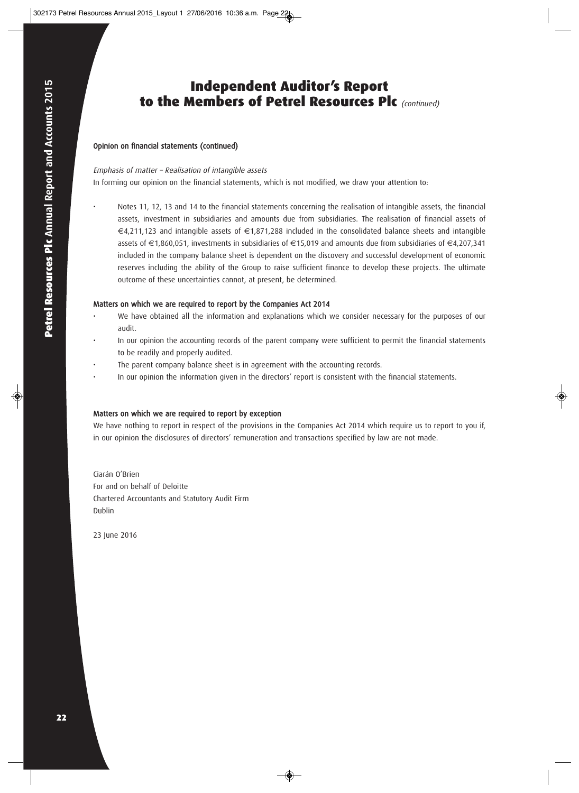# Independent Auditor's Report to the Members of Petrel Resources Plc (continued)

#### Opinion on financial statements (continued)

#### Emphasis of matter – Realisation of intangible assets

In forming our opinion on the financial statements, which is not modified, we draw your attention to:

• Notes 11, 12, 13 and 14 to the financial statements concerning the realisation of intangible assets, the financial assets, investment in subsidiaries and amounts due from subsidiaries. The realisation of financial assets of €4,211,123 and intangible assets of €1,871,288 included in the consolidated balance sheets and intangible assets of €1,860,051, investments in subsidiaries of €15,019 and amounts due from subsidiaries of €4,207,341 included in the company balance sheet is dependent on the discovery and successful development of economic reserves including the ability of the Group to raise sufficient finance to develop these projects. The ultimate outcome of these uncertainties cannot, at present, be determined.

#### Matters on which we are required to report by the Companies Act 2014

- We have obtained all the information and explanations which we consider necessary for the purposes of our audit.
- In our opinion the accounting records of the parent company were sufficient to permit the financial statements to be readily and properly audited.
- The parent company balance sheet is in agreement with the accounting records.
- In our opinion the information given in the directors' report is consistent with the financial statements.

#### Matters on which we are required to report by exception

We have nothing to report in respect of the provisions in the Companies Act 2014 which require us to report to you if, in our opinion the disclosures of directors' remuneration and transactions specified by law are not made.

Ciarán O'Brien For and on behalf of Deloitte Chartered Accountants and Statutory Audit Firm Dublin

23 June 2016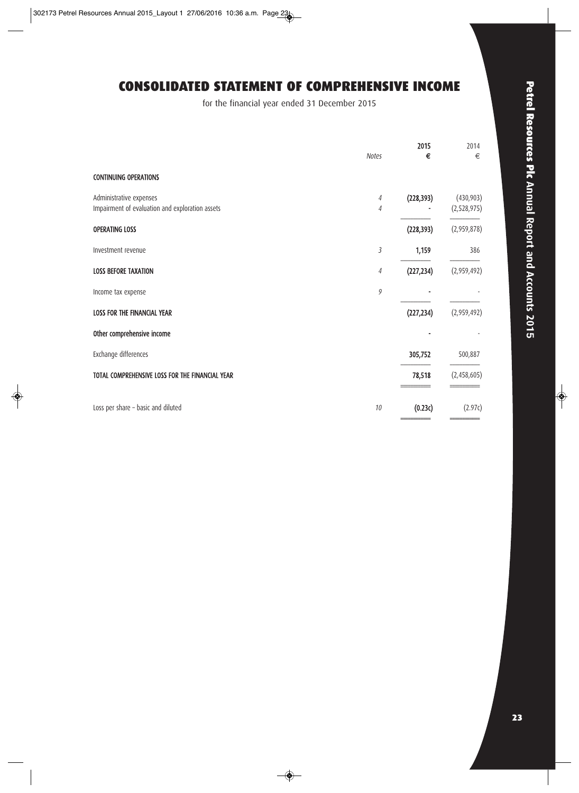# CONSOLIDATED STATEMENT OF COMPREHENSIVE INCOME

for the financial year ended 31 December 2015

|                                                                            | Notes               | 2015<br>€  | 2014<br>€                |
|----------------------------------------------------------------------------|---------------------|------------|--------------------------|
| <b>CONTINUING OPERATIONS</b>                                               |                     |            |                          |
| Administrative expenses<br>Impairment of evaluation and exploration assets | 4<br>$\overline{4}$ | (228, 393) | (430,903)<br>(2,528,975) |
| <b>OPERATING LOSS</b>                                                      |                     | (228, 393) | (2,959,878)              |
| Investment revenue                                                         | 3                   | 1,159      | 386                      |
| <b>LOSS BEFORE TAXATION</b>                                                | $\it 4$             | (227, 234) | (2,959,492)              |
| Income tax expense                                                         | 9                   |            |                          |
| LOSS FOR THE FINANCIAL YEAR                                                |                     | (227, 234) | (2,959,492)              |
| Other comprehensive income                                                 |                     |            |                          |
| Exchange differences                                                       |                     | 305,752    | 500,887                  |
| TOTAL COMPREHENSIVE LOSS FOR THE FINANCIAL YEAR                            |                     | 78,518     | (2,458,605)              |
| Loss per share - basic and diluted                                         | 10                  | (0.23c)    | (2.97c)                  |

 $\overline{\bullet}$ 

 $\Rightarrow$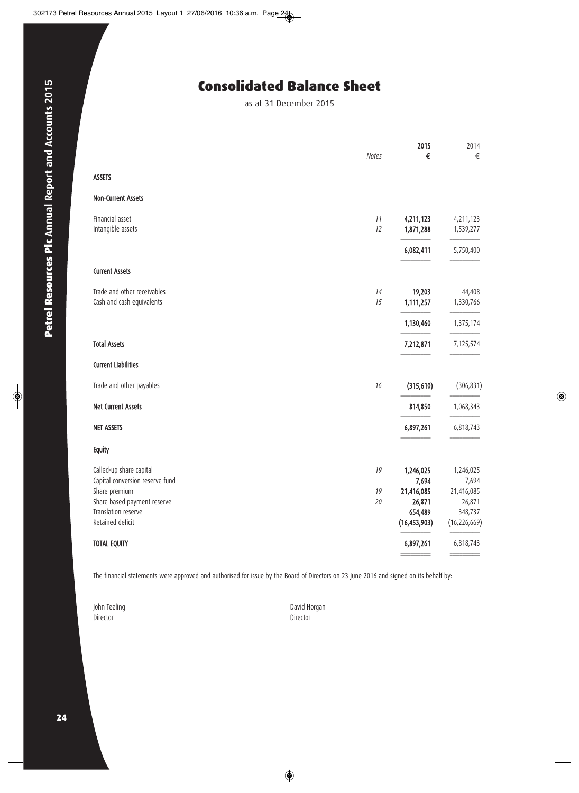# Petrel Resources Plc **Annual Report and Accounts 201**

♦

**5**

# Consolidated Balance Sheet

as at 31 December 2015

|                                                            | Notes    | 2015<br>€              | 2014<br>€              |
|------------------------------------------------------------|----------|------------------------|------------------------|
| <b>ASSETS</b>                                              |          |                        |                        |
| <b>Non-Current Assets</b>                                  |          |                        |                        |
| Financial asset<br>Intangible assets                       | 11<br>12 | 4,211,123<br>1,871,288 | 4,211,123<br>1,539,277 |
|                                                            |          | 6,082,411              | 5,750,400              |
| <b>Current Assets</b>                                      |          |                        |                        |
| Trade and other receivables<br>Cash and cash equivalents   | 14<br>15 | 19,203<br>1,111,257    | 44,408<br>1,330,766    |
|                                                            |          | 1,130,460              | 1,375,174              |
| <b>Total Assets</b>                                        |          | 7,212,871              | 7,125,574              |
| <b>Current Liabilities</b>                                 |          |                        |                        |
| Trade and other payables                                   | 16       | (315,610)              | (306, 831)             |
| <b>Net Current Assets</b>                                  |          | 814,850                | 1,068,343              |
| <b>NET ASSETS</b>                                          |          | 6,897,261              | 6,818,743              |
| <b>Equity</b>                                              |          |                        |                        |
| Called-up share capital<br>Capital conversion reserve fund | 19       | 1,246,025<br>7,694     | 1,246,025<br>7,694     |
| Share premium                                              | 19       | 21,416,085             | 21,416,085             |
| Share based payment reserve                                | 20       | 26,871                 | 26,871                 |
| Translation reserve                                        |          | 654,489                | 348,737                |
| Retained deficit                                           |          | (16, 453, 903)         | (16, 226, 669)         |
| <b>TOTAL EQUITY</b>                                        |          | 6,897,261              | 6,818,743              |
|                                                            |          |                        |                        |

۱

The financial statements were approved and authorised for issue by the Board of Directors on 23 June 2016 and signed on its behalf by:

John Teeling **David Horgan** Director Director

 $\overline{\bullet}$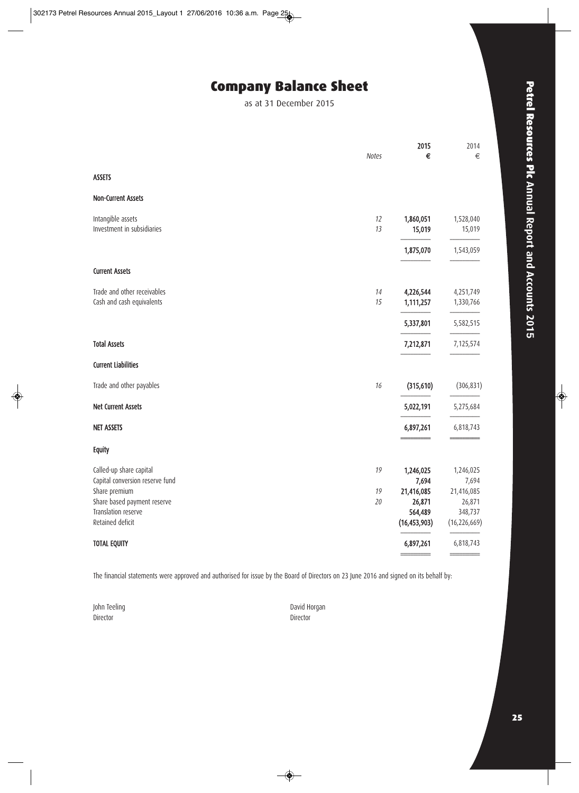# Company Balance Sheet

as at 31 December 2015

|                                                            | Notes    | 2015<br>€              | 2014<br>€              |
|------------------------------------------------------------|----------|------------------------|------------------------|
| <b>ASSETS</b>                                              |          |                        |                        |
| <b>Non-Current Assets</b>                                  |          |                        |                        |
| Intangible assets<br>Investment in subsidiaries            | 12<br>13 | 1,860,051<br>15,019    | 1,528,040<br>15,019    |
|                                                            |          | 1,875,070              | 1,543,059              |
| <b>Current Assets</b>                                      |          |                        |                        |
| Trade and other receivables<br>Cash and cash equivalents   | 14<br>15 | 4,226,544<br>1,111,257 | 4,251,749<br>1,330,766 |
|                                                            |          | 5,337,801              | 5,582,515              |
| <b>Total Assets</b>                                        |          | 7,212,871              | 7,125,574              |
| <b>Current Liabilities</b>                                 |          |                        |                        |
| Trade and other payables                                   | $16$     | (315,610)              | (306, 831)             |
| <b>Net Current Assets</b>                                  |          | 5,022,191              | 5,275,684              |
| <b>NET ASSETS</b>                                          |          | 6,897,261              | 6,818,743              |
| Equity                                                     |          |                        |                        |
| Called-up share capital<br>Capital conversion reserve fund | 19       | 1,246,025<br>7,694     | 1,246,025<br>7,694     |
| Share premium                                              | 19       | 21,416,085             | 21,416,085             |
| Share based payment reserve                                | 20       | 26,871                 | 26,871                 |
| Translation reserve                                        |          | 564,489                | 348,737                |
| Retained deficit                                           |          | (16, 453, 903)         | (16, 226, 669)         |
| <b>TOTAL EQUITY</b>                                        |          | 6,897,261              | 6,818,743              |

The financial statements were approved and authorised for issue by the Board of Directors on 23 June 2016 and signed on its behalf by:

Director Director

John Teeling David Horgan

 $\overline{\bullet}$ 

 $\bigcirc$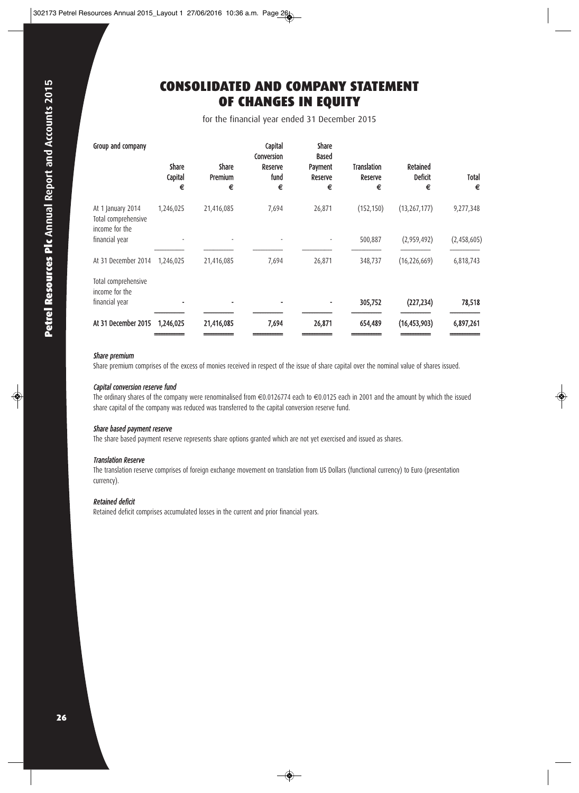**5**

# CONSOLIDATED AND COMPANY STATEMENT OF CHANGES IN EQUITY

for the financial year ended 31 December 2015

|  | Group and company |
|--|-------------------|
|--|-------------------|

| Group and company                                          | Share<br>Capital<br>€ | <b>Share</b><br>Premium<br>€ | Capital<br>Conversion<br>Reserve<br>fund<br>€ | <b>Share</b><br><b>Based</b><br>Payment<br>Reserve<br>€ | <b>Translation</b><br>Reserve<br>€ | Retained<br><b>Deficit</b><br>€ | Total<br>€  |
|------------------------------------------------------------|-----------------------|------------------------------|-----------------------------------------------|---------------------------------------------------------|------------------------------------|---------------------------------|-------------|
| At 1 January 2014<br>Total comprehensive<br>income for the | 1,246,025             | 21,416,085                   | 7,694                                         | 26,871                                                  | (152, 150)                         | (13, 267, 177)                  | 9,277,348   |
| financial year                                             |                       |                              |                                               |                                                         | 500,887                            | (2,959,492)                     | (2,458,605) |
| At 31 December 2014                                        | 1,246,025             | 21,416,085                   | 7,694                                         | 26,871                                                  | 348,737                            | (16, 226, 669)                  | 6,818,743   |
| Total comprehensive<br>income for the                      |                       |                              |                                               |                                                         |                                    |                                 |             |
| financial year                                             |                       |                              |                                               |                                                         | 305,752                            | (227, 234)                      | 78,518      |
| At 31 December 2015                                        | 1,246,025             | 21,416,085                   | 7,694                                         | 26,871                                                  | 654,489                            | (16, 453, 903)                  | 6,897,261   |

#### Share premium

Share premium comprises of the excess of monies received in respect of the issue of share capital over the nominal value of shares issued.

#### Capital conversion reserve fund

The ordinary shares of the company were renominalised from €0.0126774 each to €0.0125 each in 2001 and the amount by which the issued share capital of the company was reduced was transferred to the capital conversion reserve fund.

#### Share based payment reserve

The share based payment reserve represents share options granted which are not yet exercised and issued as shares.

#### Translation Reserve

The translation reserve comprises of foreign exchange movement on translation from US Dollars (functional currency) to Euro (presentation currency).

◈

#### Retained deficit

Retained deficit comprises accumulated losses in the current and prior financial years.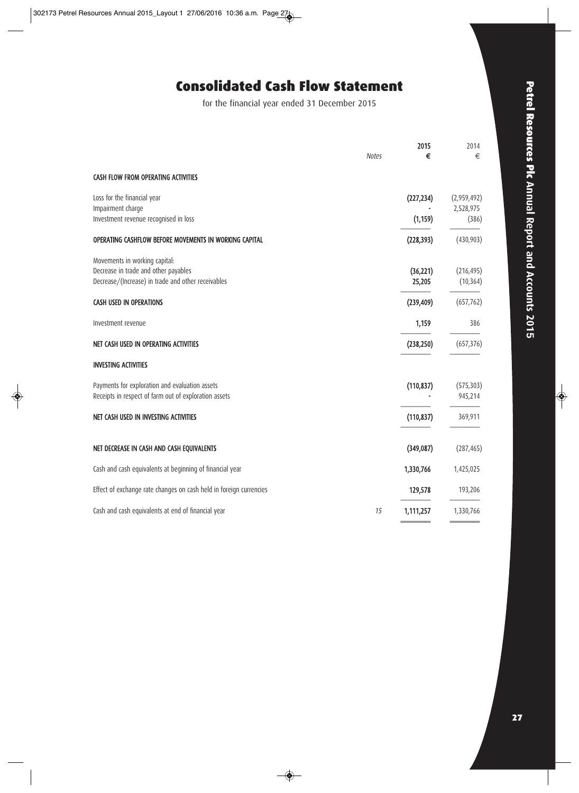# Consolidated Cash Flow Statement

for the financial year ended 31 December 2015

|                                                                                                                             | <b>Notes</b> | 2015<br>€           | 2014<br>€               |
|-----------------------------------------------------------------------------------------------------------------------------|--------------|---------------------|-------------------------|
| CASH FLOW FROM OPERATING ACTIVITIES                                                                                         |              |                     |                         |
| Loss for the financial year                                                                                                 |              | (227, 234)          | (2,959,492)             |
| Impairment charge<br>Investment revenue recognised in loss                                                                  |              | (1, 159)            | 2,528,975<br>(386)      |
| OPERATING CASHFLOW BEFORE MOVEMENTS IN WORKING CAPITAL                                                                      |              | (228, 393)          | (430,903)               |
| Movements in working capital:<br>Decrease in trade and other payables<br>Decrease/(Increase) in trade and other receivables |              | (36, 221)<br>25,205 | (216, 495)<br>(10, 364) |
| <b>CASH USED IN OPERATIONS</b>                                                                                              |              | (239, 409)          | (657, 762)              |
| Investment revenue                                                                                                          |              | 1,159               | 386                     |
| NET CASH USED IN OPERATING ACTIVITIES                                                                                       |              | (238, 250)          | (657, 376)              |
| <b>INVESTING ACTIVITIES</b>                                                                                                 |              |                     |                         |
| Payments for exploration and evaluation assets<br>Receipts in respect of farm out of exploration assets                     |              | (110, 837)          | (575, 303)<br>945,214   |
| NET CASH USED IN INVESTING ACTIVITIES                                                                                       |              | (110, 837)          | 369,911                 |
| NET DECREASE IN CASH AND CASH EQUIVALENTS                                                                                   |              | (349,087)           | (287, 465)              |
| Cash and cash equivalents at beginning of financial year                                                                    |              | 1,330,766           | 1,425,025               |
| Effect of exchange rate changes on cash held in foreign currencies                                                          |              | 129,578             | 193,206                 |
| Cash and cash equivalents at end of financial year                                                                          | 15           | 1,111,257           | 1,330,766               |

 $\overline{\bullet}$ 

 $\Rightarrow$ 

–––––––––––– –––––––––––– –––––––––––– ––––––––––––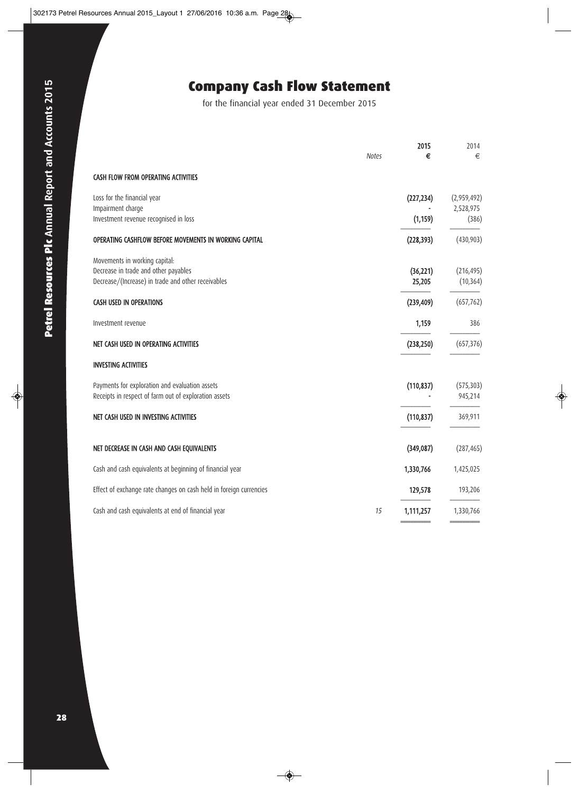# Company Cash Flow Statement

for the financial year ended 31 December 2015

|                                                                                                                             | <b>Notes</b> | 2015<br>€           | 2014<br>€               |
|-----------------------------------------------------------------------------------------------------------------------------|--------------|---------------------|-------------------------|
| CASH FLOW FROM OPERATING ACTIVITIES                                                                                         |              |                     |                         |
| Loss for the financial year                                                                                                 |              | (227, 234)          | (2,959,492)             |
| Impairment charge<br>Investment revenue recognised in loss                                                                  |              | (1, 159)            | 2,528,975<br>(386)      |
| OPERATING CASHFLOW BEFORE MOVEMENTS IN WORKING CAPITAL                                                                      |              | (228, 393)          | (430,903)               |
| Movements in working capital:<br>Decrease in trade and other payables<br>Decrease/(Increase) in trade and other receivables |              | (36, 221)<br>25,205 | (216, 495)<br>(10, 364) |
| <b>CASH USED IN OPERATIONS</b>                                                                                              |              | (239, 409)          | (657, 762)              |
| Investment revenue                                                                                                          |              | 1,159               | 386                     |
| NET CASH USED IN OPERATING ACTIVITIES                                                                                       |              | (238, 250)          | (657, 376)              |
| <b>INVESTING ACTIVITIES</b>                                                                                                 |              |                     |                         |
| Payments for exploration and evaluation assets<br>Receipts in respect of farm out of exploration assets                     |              | (110, 837)          | (575, 303)<br>945,214   |
| NET CASH USED IN INVESTING ACTIVITIES                                                                                       |              | (110, 837)          | 369,911                 |
| NET DECREASE IN CASH AND CASH EQUIVALENTS                                                                                   |              | (349,087)           | (287, 465)              |
| Cash and cash equivalents at beginning of financial year                                                                    |              | 1,330,766           | 1,425,025               |
| Effect of exchange rate changes on cash held in foreign currencies                                                          |              | 129,578             | 193,206                 |
| Cash and cash equivalents at end of financial year                                                                          | 15           | 1,111,257           | 1,330,766               |

 $\overline{\bullet}$ 

–––––––––––– –––––––––––– –––––––––––– ––––––––––––

◈

 $\bigcirc$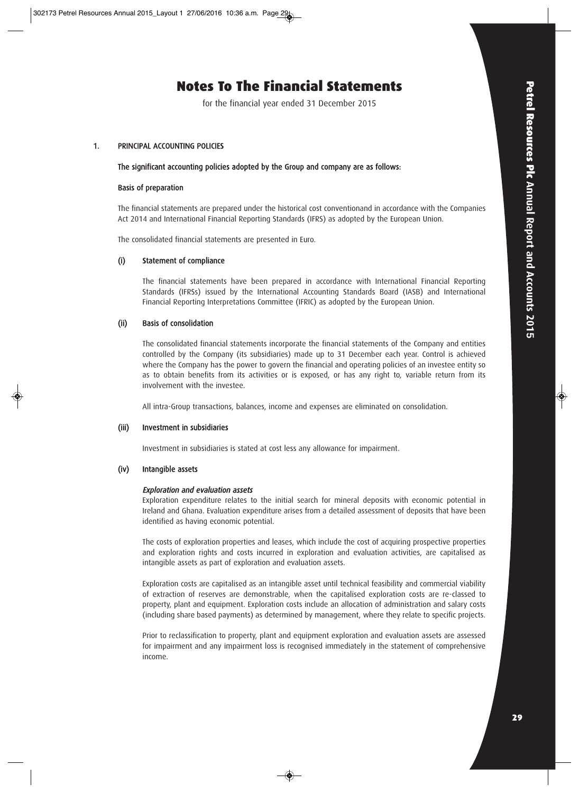# Petrel Resources Plc **Annual Report and Accounts 201 Petrel Resources Pic Annual Report and Accounts 2015**

# Notes To The Financial Statements

for the financial year ended 31 December 2015

#### 1. PRINCIPAL ACCOUNTING POLICIES

#### The significant accounting policies adopted by the Group and company are as follows:

#### Basis of preparation

The financial statements are prepared under the historical cost conventionand in accordance with the Companies Act 2014 and International Financial Reporting Standards (IFRS) as adopted by the European Union.

The consolidated financial statements are presented in Euro.

#### (i) Statement of compliance

The financial statements have been prepared in accordance with International Financial Reporting Standards (IFRSs) issued by the International Accounting Standards Board (IASB) and International Financial Reporting Interpretations Committee (IFRIC) as adopted by the European Union.

#### (ii) Basis of consolidation

The consolidated financial statements incorporate the financial statements of the Company and entities controlled by the Company (its subsidiaries) made up to 31 December each year. Control is achieved where the Company has the power to govern the financial and operating policies of an investee entity so as to obtain benefits from its activities or is exposed, or has any right to, variable return from its involvement with the investee.

All intra-Group transactions, balances, income and expenses are eliminated on consolidation.

#### (iii) Investment in subsidiaries

Investment in subsidiaries is stated at cost less any allowance for impairment.

#### (iv) Intangible assets

#### Exploration and evaluation assets

Exploration expenditure relates to the initial search for mineral deposits with economic potential in Ireland and Ghana. Evaluation expenditure arises from a detailed assessment of deposits that have been identified as having economic potential.

The costs of exploration properties and leases, which include the cost of acquiring prospective properties and exploration rights and costs incurred in exploration and evaluation activities, are capitalised as intangible assets as part of exploration and evaluation assets.

Exploration costs are capitalised as an intangible asset until technical feasibility and commercial viability of extraction of reserves are demonstrable, when the capitalised exploration costs are re-classed to property, plant and equipment. Exploration costs include an allocation of administration and salary costs (including share based payments) as determined by management, where they relate to specific projects.

Prior to reclassification to property, plant and equipment exploration and evaluation assets are assessed for impairment and any impairment loss is recognised immediately in the statement of comprehensive income.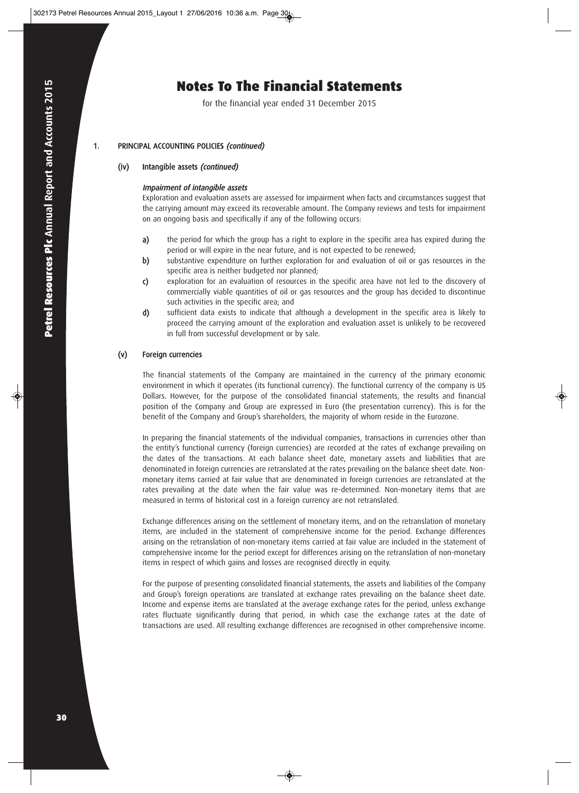for the financial year ended 31 December 2015

#### 1. PRINCIPAL ACCOUNTING POLICIES (continued)

#### (iv) Intangible assets (continued)

#### Impairment of intangible assets

Exploration and evaluation assets are assessed for impairment when facts and circumstances suggest that the carrying amount may exceed its recoverable amount. The Company reviews and tests for impairment on an ongoing basis and specifically if any of the following occurs:

- a) the period for which the group has a right to explore in the specific area has expired during the period or will expire in the near future, and is not expected to be renewed;
- b) substantive expenditure on further exploration for and evaluation of oil or gas resources in the specific area is neither budgeted nor planned;
- c) exploration for an evaluation of resources in the specific area have not led to the discovery of commercially viable quantities of oil or gas resources and the group has decided to discontinue such activities in the specific area; and
- d) sufficient data exists to indicate that although a development in the specific area is likely to proceed the carrying amount of the exploration and evaluation asset is unlikely to be recovered in full from successful development or by sale.

#### (v) Foreign currencies

The financial statements of the Company are maintained in the currency of the primary economic environment in which it operates (its functional currency). The functional currency of the company is US Dollars. However, for the purpose of the consolidated financial statements, the results and financial position of the Company and Group are expressed in Euro (the presentation currency). This is for the benefit of the Company and Group's shareholders, the majority of whom reside in the Eurozone.

In preparing the financial statements of the individual companies, transactions in currencies other than the entity's functional currency (foreign currencies) are recorded at the rates of exchange prevailing on the dates of the transactions. At each balance sheet date, monetary assets and liabilities that are denominated in foreign currencies are retranslated at the rates prevailing on the balance sheet date. Nonmonetary items carried at fair value that are denominated in foreign currencies are retranslated at the rates prevailing at the date when the fair value was re-determined. Non-monetary items that are measured in terms of historical cost in a foreign currency are not retranslated.

Exchange differences arising on the settlement of monetary items, and on the retranslation of monetary items, are included in the statement of comprehensive income for the period. Exchange differences arising on the retranslation of non-monetary items carried at fair value are included in the statement of comprehensive income for the period except for differences arising on the retranslation of non-monetary items in respect of which gains and losses are recognised directly in equity.

For the purpose of presenting consolidated financial statements, the assets and liabilities of the Company and Group's foreign operations are translated at exchange rates prevailing on the balance sheet date. Income and expense items are translated at the average exchange rates for the period, unless exchange rates fluctuate significantly during that period, in which case the exchange rates at the date of transactions are used. All resulting exchange differences are recognised in other comprehensive income.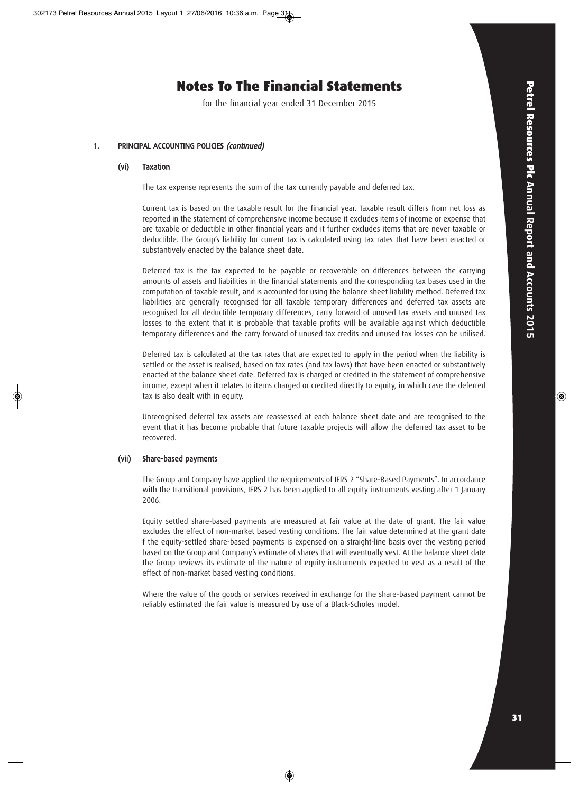# Petrel Resources Plc **Annual Report and Accounts 201 Petrel Resources Pic Annual Report and Accounts 2015**

# Notes To The Financial Statements

for the financial year ended 31 December 2015

#### 1. PRINCIPAL ACCOUNTING POLICIES (continued)

#### (vi) Taxation

The tax expense represents the sum of the tax currently payable and deferred tax.

Current tax is based on the taxable result for the financial year. Taxable result differs from net loss as reported in the statement of comprehensive income because it excludes items of income or expense that are taxable or deductible in other financial years and it further excludes items that are never taxable or deductible. The Group's liability for current tax is calculated using tax rates that have been enacted or substantively enacted by the balance sheet date.

Deferred tax is the tax expected to be payable or recoverable on differences between the carrying amounts of assets and liabilities in the financial statements and the corresponding tax bases used in the computation of taxable result, and is accounted for using the balance sheet liability method. Deferred tax liabilities are generally recognised for all taxable temporary differences and deferred tax assets are recognised for all deductible temporary differences, carry forward of unused tax assets and unused tax losses to the extent that it is probable that taxable profits will be available against which deductible temporary differences and the carry forward of unused tax credits and unused tax losses can be utilised.

Deferred tax is calculated at the tax rates that are expected to apply in the period when the liability is settled or the asset is realised, based on tax rates (and tax laws) that have been enacted or substantively enacted at the balance sheet date. Deferred tax is charged or credited in the statement of comprehensive income, except when it relates to items charged or credited directly to equity, in which case the deferred tax is also dealt with in equity.

Unrecognised deferral tax assets are reassessed at each balance sheet date and are recognised to the event that it has become probable that future taxable projects will allow the deferred tax asset to be recovered.

#### (vii) Share-based payments

The Group and Company have applied the requirements of IFRS 2 "Share-Based Payments". In accordance with the transitional provisions, IFRS 2 has been applied to all equity instruments vesting after 1 January 2006.

Equity settled share-based payments are measured at fair value at the date of grant. The fair value excludes the effect of non-market based vesting conditions. The fair value determined at the grant date f the equity-settled share-based payments is expensed on a straight-line basis over the vesting period based on the Group and Company's estimate of shares that will eventually vest. At the balance sheet date the Group reviews its estimate of the nature of equity instruments expected to vest as a result of the effect of non-market based vesting conditions.

Where the value of the goods or services received in exchange for the share-based payment cannot be reliably estimated the fair value is measured by use of a Black-Scholes model.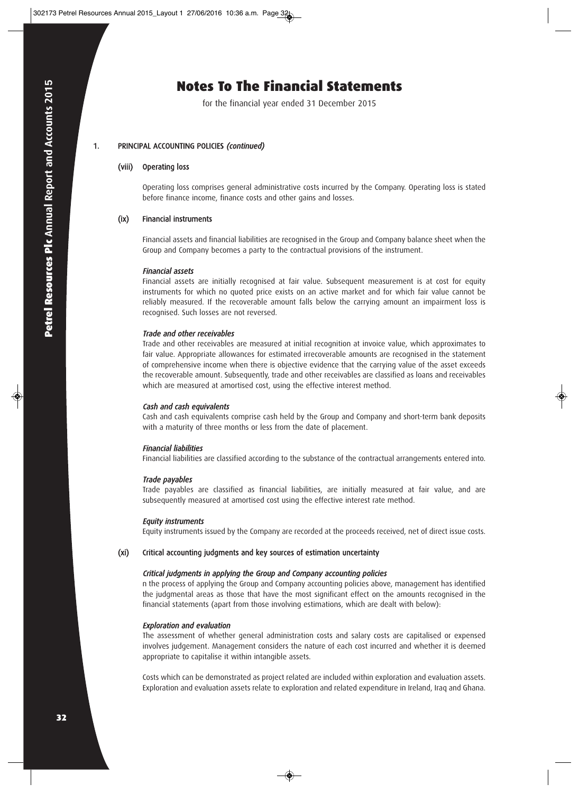for the financial year ended 31 December 2015

#### 1. PRINCIPAL ACCOUNTING POLICIES (continued)

#### (viii) Operating loss

Operating loss comprises general administrative costs incurred by the Company. Operating loss is stated before finance income, finance costs and other gains and losses.

#### (ix) Financial instruments

Financial assets and financial liabilities are recognised in the Group and Company balance sheet when the Group and Company becomes a party to the contractual provisions of the instrument.

#### Financial assets

Financial assets are initially recognised at fair value. Subsequent measurement is at cost for equity instruments for which no quoted price exists on an active market and for which fair value cannot be reliably measured. If the recoverable amount falls below the carrying amount an impairment loss is recognised. Such losses are not reversed.

#### Trade and other receivables

Trade and other receivables are measured at initial recognition at invoice value, which approximates to fair value. Appropriate allowances for estimated irrecoverable amounts are recognised in the statement of comprehensive income when there is objective evidence that the carrying value of the asset exceeds the recoverable amount. Subsequently, trade and other receivables are classified as loans and receivables which are measured at amortised cost, using the effective interest method.

#### Cash and cash equivalents

Cash and cash equivalents comprise cash held by the Group and Company and short-term bank deposits with a maturity of three months or less from the date of placement.

#### Financial liabilities

Financial liabilities are classified according to the substance of the contractual arrangements entered into.

#### Trade payables

Trade payables are classified as financial liabilities, are initially measured at fair value, and are subsequently measured at amortised cost using the effective interest rate method.

#### Equity instruments

Equity instruments issued by the Company are recorded at the proceeds received, net of direct issue costs.

#### (xi) Critical accounting judgments and key sources of estimation uncertainty

#### Critical judgments in applying the Group and Company accounting policies

n the process of applying the Group and Company accounting policies above, management has identified the judgmental areas as those that have the most significant effect on the amounts recognised in the financial statements (apart from those involving estimations, which are dealt with below):

#### Exploration and evaluation

The assessment of whether general administration costs and salary costs are capitalised or expensed involves judgement. Management considers the nature of each cost incurred and whether it is deemed appropriate to capitalise it within intangible assets.

Costs which can be demonstrated as project related are included within exploration and evaluation assets. Exploration and evaluation assets relate to exploration and related expenditure in Ireland, Iraq and Ghana.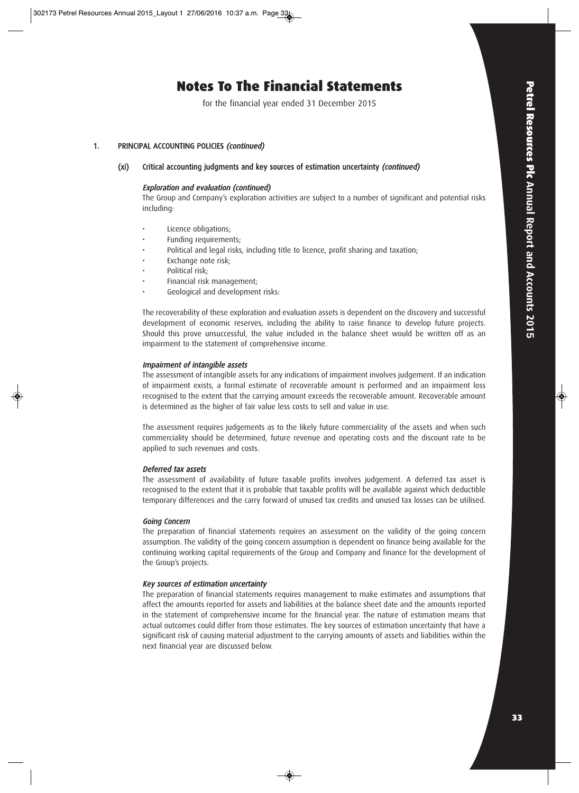for the financial year ended 31 December 2015

#### 1. PRINCIPAL ACCOUNTING POLICIES (continued)

#### (xi) Critical accounting judgments and key sources of estimation uncertainty (continued)

#### Exploration and evaluation (continued)

The Group and Company's exploration activities are subject to a number of significant and potential risks including:

- Licence obligations;
- Funding requirements;
- Political and legal risks, including title to licence, profit sharing and taxation;
- Exchange note risk;
- Political risk;
- Financial risk management;
- Geological and development risks:

The recoverability of these exploration and evaluation assets is dependent on the discovery and successful development of economic reserves, including the ability to raise finance to develop future projects. Should this prove unsuccessful, the value included in the balance sheet would be written off as an impairment to the statement of comprehensive income.

#### Impairment of intangible assets

The assessment of intangible assets for any indications of impairment involves judgement. If an indication of impairment exists, a formal estimate of recoverable amount is performed and an impairment loss recognised to the extent that the carrying amount exceeds the recoverable amount. Recoverable amount is determined as the higher of fair value less costs to sell and value in use.

The assessment requires judgements as to the likely future commerciality of the assets and when such commerciality should be determined, future revenue and operating costs and the discount rate to be applied to such revenues and costs.

#### Deferred tax assets

The assessment of availability of future taxable profits involves judgement. A deferred tax asset is recognised to the extent that it is probable that taxable profits will be available against which deductible temporary differences and the carry forward of unused tax credits and unused tax losses can be utilised.

#### Going Concern

The preparation of financial statements requires an assessment on the validity of the going concern assumption. The validity of the going concern assumption is dependent on finance being available for the continuing working capital requirements of the Group and Company and finance for the development of the Group's projects.

#### Key sources of estimation uncertainty

The preparation of financial statements requires management to make estimates and assumptions that affect the amounts reported for assets and liabilities at the balance sheet date and the amounts reported in the statement of comprehensive income for the financial year. The nature of estimation means that actual outcomes could differ from those estimates. The key sources of estimation uncertainty that have a significant risk of causing material adjustment to the carrying amounts of assets and liabilities within the next financial year are discussed below.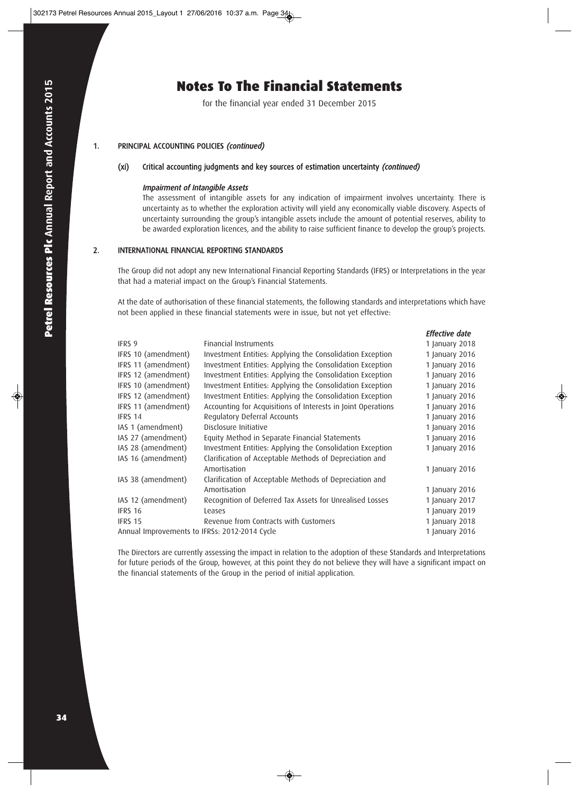for the financial year ended 31 December 2015

#### 1. PRINCIPAL ACCOUNTING POLICIES (continued)

#### (xi) Critical accounting judgments and key sources of estimation uncertainty (continued)

#### Impairment of Intangible Assets

The assessment of intangible assets for any indication of impairment involves uncertainty. There is uncertainty as to whether the exploration activity will yield any economically viable discovery. Aspects of uncertainty surrounding the group's intangible assets include the amount of potential reserves, ability to be awarded exploration licences, and the ability to raise sufficient finance to develop the group's projects.

#### 2. INTERNATIONAL FINANCIAL REPORTING STANDARDS

The Group did not adopt any new International Financial Reporting Standards (IFRS) or Interpretations in the year that had a material impact on the Group's Financial Statements.

At the date of authorisation of these financial statements, the following standards and interpretations which have not been applied in these financial statements were in issue, but not yet effective:

|                     |                                                              | Effective date |
|---------------------|--------------------------------------------------------------|----------------|
| <b>IFRS 9</b>       | Financial Instruments                                        | 1 January 2018 |
| IFRS 10 (amendment) | Investment Entities: Applying the Consolidation Exception    | 1 January 2016 |
| IFRS 11 (amendment) | Investment Entities: Applying the Consolidation Exception    | 1 January 2016 |
| IFRS 12 (amendment) | Investment Entities: Applying the Consolidation Exception    | 1 January 2016 |
| IFRS 10 (amendment) | Investment Entities: Applying the Consolidation Exception    | 1 January 2016 |
| IFRS 12 (amendment) | Investment Entities: Applying the Consolidation Exception    | 1 January 2016 |
| IFRS 11 (amendment) | Accounting for Acquisitions of Interests in Joint Operations | 1 January 2016 |
| IFRS 14             | Regulatory Deferral Accounts                                 | 1 January 2016 |
| IAS 1 (amendment)   | Disclosure Initiative                                        | 1 January 2016 |
| IAS 27 (amendment)  | Equity Method in Separate Financial Statements               | 1 January 2016 |
| IAS 28 (amendment)  | Investment Entities: Applying the Consolidation Exception    | 1 January 2016 |
| IAS 16 (amendment)  | Clarification of Acceptable Methods of Depreciation and      |                |
|                     | Amortisation                                                 | 1 January 2016 |
| IAS 38 (amendment)  | Clarification of Acceptable Methods of Depreciation and      |                |
|                     | Amortisation                                                 | 1 January 2016 |
| IAS 12 (amendment)  | Recognition of Deferred Tax Assets for Unrealised Losses     | 1 January 2017 |
| <b>IFRS 16</b>      | Leases                                                       | 1 January 2019 |
| <b>IFRS 15</b>      | Revenue from Contracts with Customers                        | 1 January 2018 |
|                     | Annual Improvements to IFRSs: 2012-2014 Cycle                | 1 January 2016 |

The Directors are currently assessing the impact in relation to the adoption of these Standards and Interpretations for future periods of the Group, however, at this point they do not believe they will have a significant impact on the financial statements of the Group in the period of initial application.

◈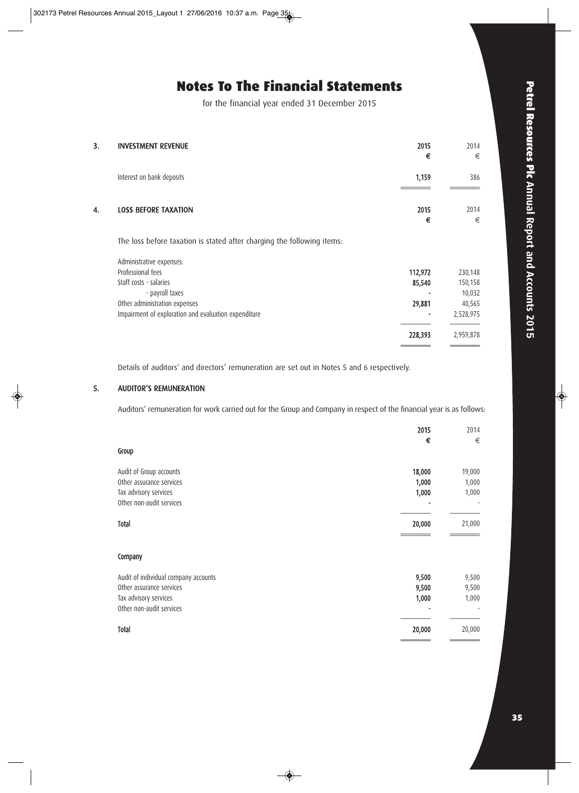for the financial year ended 31 December 2015

| 3. | <b>INVESTMENT REVENUE</b>                                              | 2015<br>€ | 2014<br>€ |
|----|------------------------------------------------------------------------|-----------|-----------|
|    | Interest on bank deposits                                              | 1,159     | 386       |
| 4. | <b>LOSS BEFORE TAXATION</b>                                            | 2015<br>€ | 2014<br>€ |
|    | The loss before taxation is stated after charging the following items: |           |           |
|    | Administrative expenses:                                               |           |           |
|    | Professional fees                                                      | 112,972   | 230,148   |
|    | Staff costs - salaries                                                 | 85,540    | 150,158   |
|    | - payroll taxes                                                        |           | 10,032    |
|    | Other administration expenses                                          | 29,881    | 40,565    |
|    | Impairment of exploration and evaluation expenditure                   |           | 2,528,975 |
|    |                                                                        | 228,393   | 2,959,878 |
|    |                                                                        |           |           |

Details of auditors' and directors' remuneration are set out in Notes 5 and 6 respectively.

#### 5. AUDITOR'S REMUNERATION

Auditors' remuneration for work carried out for the Group and Company in respect of the financial year is as follows:

|                                      | 2015   | 2014   |
|--------------------------------------|--------|--------|
| Group                                | €      | €      |
| Audit of Group accounts              | 18,000 | 19,000 |
| Other assurance services             | 1,000  | 1,000  |
| Tax advisory services                | 1,000  | 1,000  |
| Other non-audit services             |        |        |
| Total                                | 20,000 | 21,000 |
|                                      |        |        |
| Company                              |        |        |
| Audit of individual company accounts | 9,500  | 9,500  |
| Other assurance services             | 9,500  | 9,500  |
| Tax advisory services                | 1,000  | 1,000  |
| Other non-audit services             |        |        |
| Total                                | 20,000 | 20,000 |
|                                      |        |        |

 $\overline{\bullet}$ 

 $\bigcirc$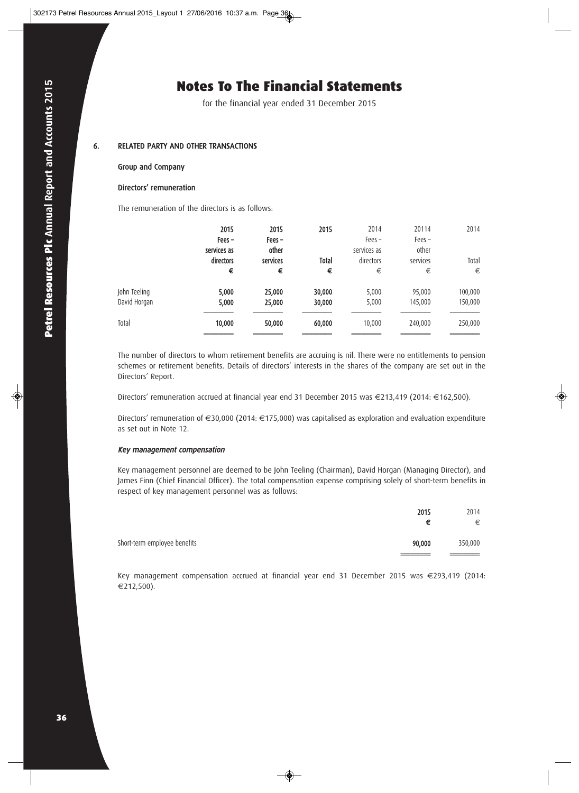for the financial year ended 31 December 2015

#### 6. RELATED PARTY AND OTHER TRANSACTIONS

Group and Company

#### Directors' remuneration

The remuneration of the directors is as follows:

|              | 2015<br>Fees $-$<br>services as | 2015<br>Fees-<br>other | 2015         | 2014<br>Fees $-$<br>services as | 20114<br>Fees $-$<br>other | 2014    |
|--------------|---------------------------------|------------------------|--------------|---------------------------------|----------------------------|---------|
|              | directors                       | services               | <b>Total</b> | directors                       | services                   | Total   |
|              | €                               | €                      | €            | €                               | €                          | €       |
| John Teeling | 5,000                           | 25,000                 | 30,000       | 5,000                           | 95,000                     | 100,000 |
| David Horgan | 5,000                           | 25,000                 | 30,000       | 5,000                           | 145,000                    | 150,000 |
| Total        | 10,000                          | 50,000                 | 60,000       | 10,000                          | 240,000                    | 250,000 |
|              |                                 |                        |              |                                 |                            |         |

The number of directors to whom retirement benefits are accruing is nil. There were no entitlements to pension schemes or retirement benefits. Details of directors' interests in the shares of the company are set out in the Directors' Report.

Directors' remuneration accrued at financial year end 31 December 2015 was €213,419 (2014: €162,500).

Directors' remuneration of €30,000 (2014: €175,000) was capitalised as exploration and evaluation expenditure as set out in Note 12.

#### Key management compensation

Key management personnel are deemed to be John Teeling (Chairman), David Horgan (Managing Director), and James Finn (Chief Financial Officer). The total compensation expense comprising solely of short-term benefits in respect of key management personnel was as follows:

|                              | 2015   | 2014    |
|------------------------------|--------|---------|
|                              | €      | €       |
| Short-term employee benefits | 90,000 | 350,000 |
|                              |        |         |

Key management compensation accrued at financial year end 31 December 2015 was €293,419 (2014: €212,500).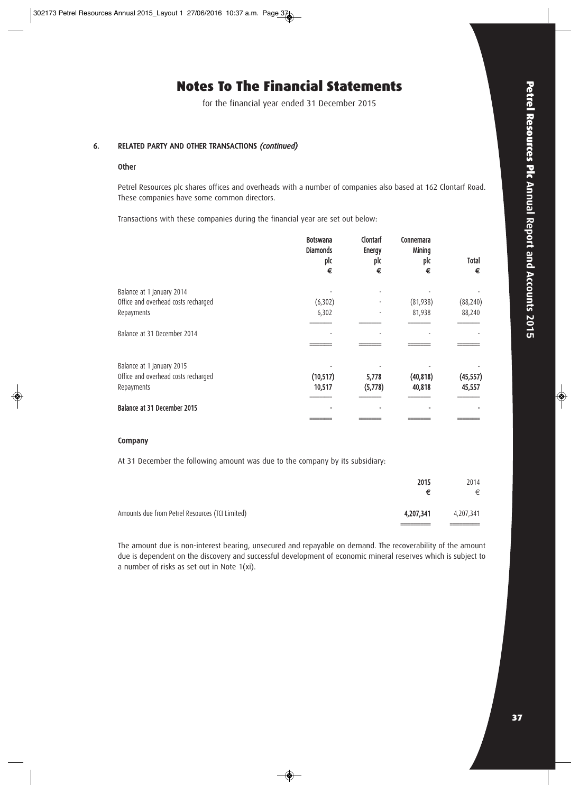for the financial year ended 31 December 2015

#### 6. RELATED PARTY AND OTHER TRANSACTIONS (continued)

#### **Other**

Petrel Resources plc shares offices and overheads with a number of companies also based at 162 Clontarf Road. These companies have some common directors.

Transactions with these companies during the financial year are set out below:

|                                     | Botswana<br><b>Diamonds</b><br>plc<br>€ | Clontart<br><b>Energy</b><br>plc<br>€ | Connemara<br>Mining<br>plc<br>€ | Total<br>€ |
|-------------------------------------|-----------------------------------------|---------------------------------------|---------------------------------|------------|
| Balance at 1 January 2014           |                                         |                                       |                                 |            |
| Office and overhead costs recharged | (6, 302)                                |                                       | (81,938)                        | (88, 240)  |
| Repayments                          | 6,302                                   |                                       | 81,938                          | 88,240     |
|                                     |                                         |                                       |                                 |            |
| Balance at 31 December 2014         |                                         |                                       |                                 |            |
|                                     |                                         |                                       |                                 |            |
| Balance at 1 January 2015           |                                         |                                       |                                 |            |
| Office and overhead costs recharged | (10, 517)                               | 5,778                                 | (40, 818)                       | (45, 557)  |
| Repayments                          | 10,517                                  | (5,778)                               | 40,818                          | 45,557     |
| Balance at 31 December 2015         |                                         |                                       |                                 |            |
|                                     |                                         |                                       |                                 |            |

#### Company

At 31 December the following amount was due to the company by its subsidiary:

|                                                 | 2015      | 2014      |
|-------------------------------------------------|-----------|-----------|
|                                                 | €         | €         |
| Amounts due from Petrel Resources (TCI Limited) | 4,207,341 | 4,207,341 |
|                                                 |           |           |

The amount due is non-interest bearing, unsecured and repayable on demand. The recoverability of the amount due is dependent on the discovery and successful development of economic mineral reserves which is subject to a number of risks as set out in Note 1(xi).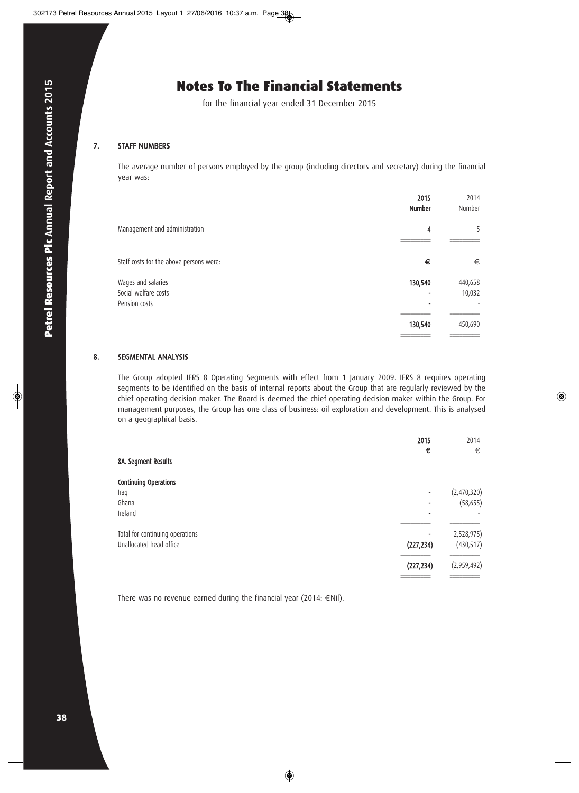for the financial year ended 31 December 2015

#### 7. STAFF NUMBERS

The average number of persons employed by the group (including directors and secretary) during the financial year was:

|                                                             | 2015<br>Number | 2014<br>Number         |
|-------------------------------------------------------------|----------------|------------------------|
| Management and administration                               | 4              | 5                      |
| Staff costs for the above persons were:                     | €              | €                      |
| Wages and salaries<br>Social welfare costs<br>Pension costs | 130,540        | 440,658<br>10,032<br>۰ |
|                                                             | 130,540        | 450,690                |

#### 8. SEGMENTAL ANALYSIS

The Group adopted IFRS 8 Operating Segments with effect from 1 January 2009. IFRS 8 requires operating segments to be identified on the basis of internal reports about the Group that are regularly reviewed by the chief operating decision maker. The Board is deemed the chief operating decision maker within the Group. For management purposes, the Group has one class of business: oil exploration and development. This is analysed on a geographical basis.

| €<br>8A. Segment Results<br><b>Continuing Operations</b><br>lraq<br>Ghana<br>Ireland<br>Total for continuing operations<br>Unallocated head office<br>(227, 234) | 2015       | 2014        |
|------------------------------------------------------------------------------------------------------------------------------------------------------------------|------------|-------------|
|                                                                                                                                                                  |            | €           |
|                                                                                                                                                                  |            |             |
|                                                                                                                                                                  |            | (2,470,320) |
|                                                                                                                                                                  |            | (58, 655)   |
|                                                                                                                                                                  |            |             |
|                                                                                                                                                                  |            | 2,528,975)  |
|                                                                                                                                                                  |            | (430, 517)  |
|                                                                                                                                                                  | (227, 234) | (2,959,492) |

◈

–––––––––––– –––––––––––– –––––––––––– ––––––––––––

There was no revenue earned during the financial year (2014: €Nil).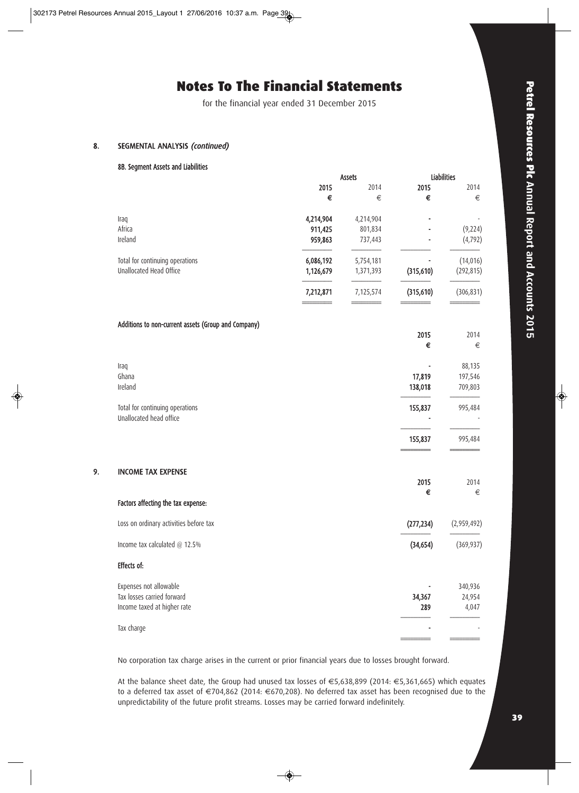for the financial year ended 31 December 2015

#### 8. SEGMENTAL ANALYSIS (continued)

8B. Segment Assets and Liabilities

|    | on' Schilleur Wascra and Fightings                  |           | <b>Assets</b> |            | <b>Liabilities</b> |
|----|-----------------------------------------------------|-----------|---------------|------------|--------------------|
|    |                                                     | 2015      | 2014          | 2015       | 2014               |
|    |                                                     | €         | €             | €          | $\in$              |
|    | Iraq                                                | 4,214,904 | 4,214,904     |            |                    |
|    | Africa                                              | 911,425   | 801,834       |            | (9, 224)           |
|    | Ireland                                             | 959,863   | 737,443       |            | (4, 792)           |
|    | Total for continuing operations                     | 6,086,192 | 5,754,181     |            | (14, 016)          |
|    | Unallocated Head Office                             | 1,126,679 | 1,371,393     | (315,610)  | (292, 815)         |
|    |                                                     | 7,212,871 | 7,125,574     | (315,610)  | (306, 831)         |
|    | Additions to non-current assets (Group and Company) |           |               |            |                    |
|    |                                                     |           |               | 2015       | 2014               |
|    |                                                     |           |               | €          | €                  |
|    | Iraq                                                |           |               |            | 88,135             |
|    | Ghana                                               |           |               | 17,819     | 197,546            |
|    | Ireland                                             |           |               | 138,018    | 709,803            |
|    | Total for continuing operations                     |           |               | 155,837    | 995,484            |
|    | Unallocated head office                             |           |               |            |                    |
|    |                                                     |           |               | 155,837    | 995,484            |
| 9. | <b>INCOME TAX EXPENSE</b>                           |           |               |            |                    |
|    |                                                     |           |               | 2015<br>€  | 2014<br>$\in$      |
|    | Factors affecting the tax expense:                  |           |               |            |                    |
|    | Loss on ordinary activities before tax              |           |               | (277, 234) | (2,959,492)        |
|    | Income tax calculated @ 12.5%                       |           |               | (34, 654)  | (369, 937)         |
|    | Effects of:                                         |           |               |            |                    |
|    | Expenses not allowable                              |           |               |            | 340,936            |
|    | Tax losses carried forward                          |           |               | 34,367     | 24,954             |
|    | Income taxed at higher rate                         |           |               | 289        | 4,047              |
|    |                                                     |           |               |            |                    |

No corporation tax charge arises in the current or prior financial years due to losses brought forward.

◈

At the balance sheet date, the Group had unused tax losses of €5,638,899 (2014: €5,361,665) which equates to a deferred tax asset of €704,862 (2014: €670,208). No deferred tax asset has been recognised due to the unpredictability of the future profit streams. Losses may be carried forward indefinitely.

Tax charge - -

◈

–––––––––––– –––––––––––– –––––––––––– ––––––––––––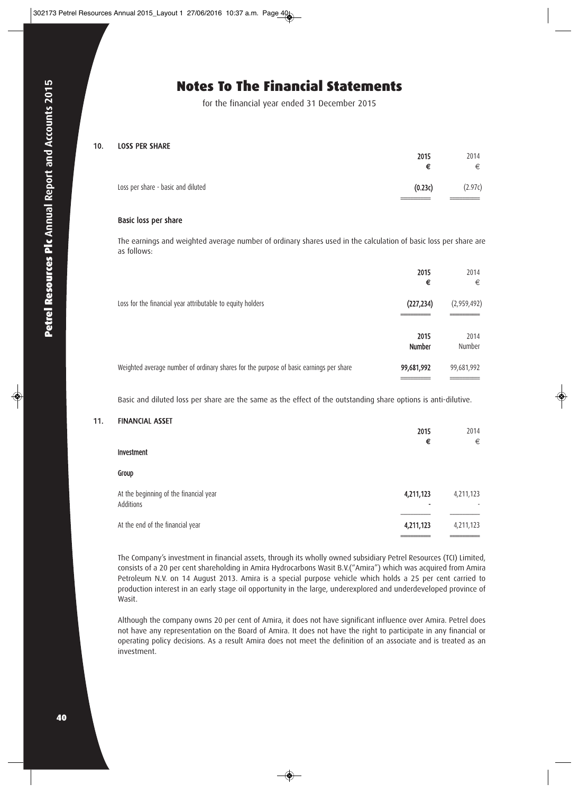for the financial year ended 31 December 2015

#### 10. LOSS PER SHARE

|                                    | 2015    | 2014    |
|------------------------------------|---------|---------|
|                                    | €       | €       |
| Loss per share - basic and diluted | (0.23c) | (2.97c) |
|                                    |         |         |

#### Basic loss per share

The earnings and weighted average number of ordinary shares used in the calculation of basic loss per share are as follows:

|                                                                                        | 2015<br>€             | 2014<br>€      |
|----------------------------------------------------------------------------------------|-----------------------|----------------|
| Loss for the financial year attributable to equity holders                             | (227, 234)            | (2,959,492)    |
|                                                                                        | 2015<br><b>Number</b> | 2014<br>Number |
| Weighted average number of ordinary shares for the purpose of basic earnings per share | 99,681,992            | 99,681,992     |

Basic and diluted loss per share are the same as the effect of the outstanding share options is anti-dilutive.

#### 11. FINANCIAL ASSET

|                                                     | 2015      | 2014           |
|-----------------------------------------------------|-----------|----------------|
| Investment                                          | €         | €              |
| Group                                               |           |                |
| At the beginning of the financial year<br>Additions | 4,211,123 | 4,211,123<br>٠ |
| At the end of the financial year                    | 4,211,123 | 4,211,123      |

The Company's investment in financial assets, through its wholly owned subsidiary Petrel Resources (TCI) Limited, consists of a 20 per cent shareholding in Amira Hydrocarbons Wasit B.V.("Amira") which was acquired from Amira Petroleum N.V. on 14 August 2013. Amira is a special purpose vehicle which holds a 25 per cent carried to production interest in an early stage oil opportunity in the large, underexplored and underdeveloped province of Wasit.

Although the company owns 20 per cent of Amira, it does not have significant influence over Amira. Petrel does not have any representation on the Board of Amira. It does not have the right to participate in any financial or operating policy decisions. As a result Amira does not meet the definition of an associate and is treated as an investment.

◈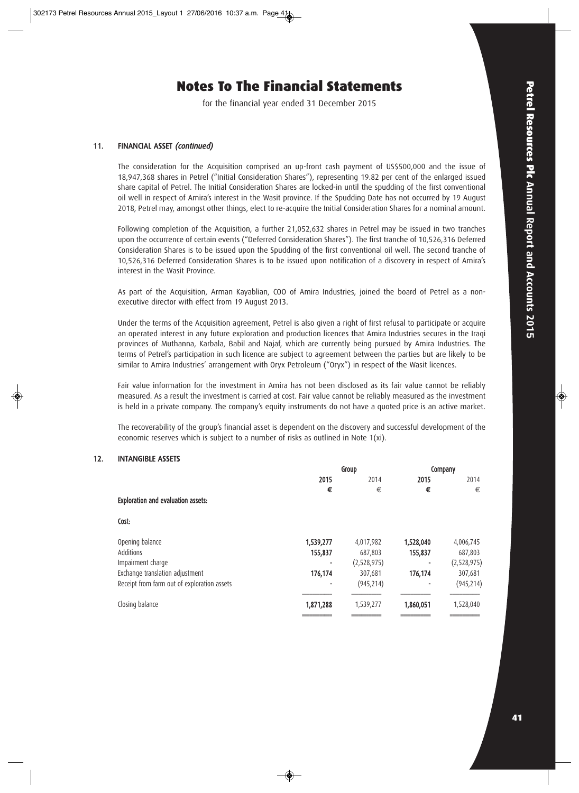for the financial year ended 31 December 2015

#### 11. FINANCIAL ASSET (continued)

The consideration for the Acquisition comprised an up-front cash payment of US\$500,000 and the issue of 18,947,368 shares in Petrel ("Initial Consideration Shares"), representing 19.82 per cent of the enlarged issued share capital of Petrel. The Initial Consideration Shares are locked-in until the spudding of the first conventional oil well in respect of Amira's interest in the Wasit province. If the Spudding Date has not occurred by 19 August 2018, Petrel may, amongst other things, elect to re-acquire the Initial Consideration Shares for a nominal amount.

Following completion of the Acquisition, a further 21,052,632 shares in Petrel may be issued in two tranches upon the occurrence of certain events ("Deferred Consideration Shares"). The first tranche of 10,526,316 Deferred Consideration Shares is to be issued upon the Spudding of the first conventional oil well. The second tranche of 10,526,316 Deferred Consideration Shares is to be issued upon notification of a discovery in respect of Amira's interest in the Wasit Province.

As part of the Acquisition, Arman Kayablian, COO of Amira Industries, joined the board of Petrel as a nonexecutive director with effect from 19 August 2013.

Under the terms of the Acquisition agreement, Petrel is also given a right of first refusal to participate or acquire an operated interest in any future exploration and production licences that Amira Industries secures in the Iraqi provinces of Muthanna, Karbala, Babil and Najaf, which are currently being pursued by Amira Industries. The terms of Petrel's participation in such licence are subject to agreement between the parties but are likely to be similar to Amira Industries' arrangement with Oryx Petroleum ("Oryx") in respect of the Wasit licences.

Fair value information for the investment in Amira has not been disclosed as its fair value cannot be reliably measured. As a result the investment is carried at cost. Fair value cannot be reliably measured as the investment is held in a private company. The company's equity instruments do not have a quoted price is an active market.

The recoverability of the group's financial asset is dependent on the discovery and successful development of the economic reserves which is subject to a number of risks as outlined in Note 1(xi).

#### 12. INTANGIBLE ASSETS

|                                             | Group     |             | Company   |             |
|---------------------------------------------|-----------|-------------|-----------|-------------|
|                                             | 2015      | 2014        | 2015      | 2014        |
|                                             | €         | €           | €         | €           |
| <b>Exploration and evaluation assets:</b>   |           |             |           |             |
| Cost:                                       |           |             |           |             |
| Opening balance                             | 1,539,277 | 4,017,982   | 1,528,040 | 4,006,745   |
| Additions                                   | 155,837   | 687,803     | 155,837   | 687,803     |
| Impairment charge                           |           | (2,528,975) |           | (2,528,975) |
| Exchange translation adjustment             | 176,174   | 307,681     | 176,174   | 307,681     |
| Receipt from farm out of exploration assets |           | (945, 214)  |           | (945, 214)  |
| Closing balance                             | 1,871,288 | 1,539,277   | 1,860,051 | 1,528,040   |
|                                             |           |             |           |             |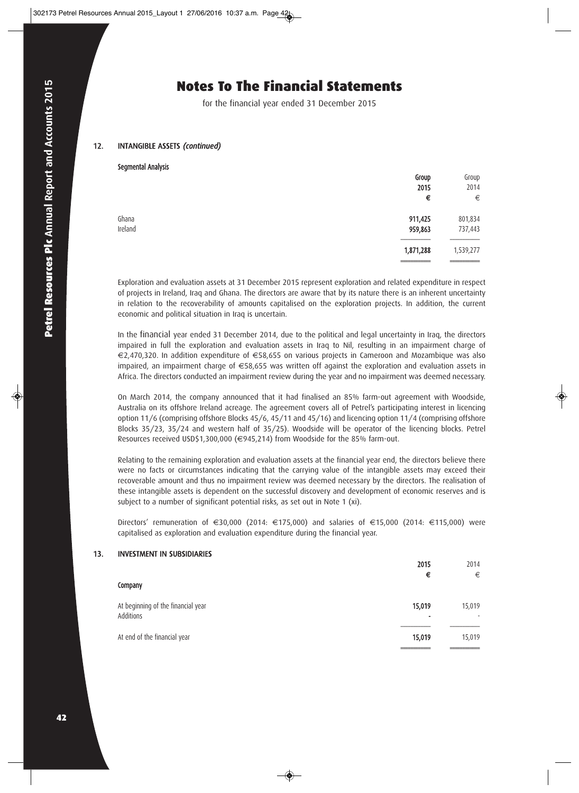for the financial year ended 31 December 2015

#### 12. INTANGIBLE ASSETS (continued)

Segmental Analysis

|         | Group     | Group     |
|---------|-----------|-----------|
|         | 2015      | 2014      |
|         | €         | €         |
| Ghana   | 911,425   | 801,834   |
| Ireland | 959,863   | 737,443   |
|         | 1,871,288 | 1,539,277 |
|         |           |           |

Exploration and evaluation assets at 31 December 2015 represent exploration and related expenditure in respect of projects in Ireland, Iraq and Ghana. The directors are aware that by its nature there is an inherent uncertainty in relation to the recoverability of amounts capitalised on the exploration projects. In addition, the current economic and political situation in Iraq is uncertain.

In the financial year ended 31 December 2014, due to the political and legal uncertainty in Iraq, the directors impaired in full the exploration and evaluation assets in Iraq to Nil, resulting in an impairment charge of €2,470,320. In addition expenditure of €58,655 on various projects in Cameroon and Mozambique was also impaired, an impairment charge of €58,655 was written off against the exploration and evaluation assets in Africa. The directors conducted an impairment review during the year and no impairment was deemed necessary.

On March 2014, the company announced that it had finalised an 85% farm-out agreement with Woodside, Australia on its offshore Ireland acreage. The agreement covers all of Petrel's participating interest in licencing option 11/6 (comprising offshore Blocks 45/6, 45/11 and 45/16) and licencing option 11/4 (comprising offshore Blocks 35/23, 35/24 and western half of 35/25). Woodside will be operator of the licencing blocks. Petrel Resources received USD\$1,300,000 (€945,214) from Woodside for the 85% farm-out.

Relating to the remaining exploration and evaluation assets at the financial year end, the directors believe there were no facts or circumstances indicating that the carrying value of the intangible assets may exceed their recoverable amount and thus no impairment review was deemed necessary by the directors. The realisation of these intangible assets is dependent on the successful discovery and development of economic reserves and is subject to a number of significant potential risks, as set out in Note 1 (xi).

Directors' remuneration of €30,000 (2014: €175,000) and salaries of €15,000 (2014: €115,000) were capitalised as exploration and evaluation expenditure during the financial year.

#### 13. INVESTMENT IN SUBSIDIARIES

|                                                 | 2015   | 2014   |
|-------------------------------------------------|--------|--------|
| Company                                         | €      | €      |
| At beginning of the financial year<br>Additions | 15,019 | 15,019 |
| At end of the financial year                    | 15,019 | 15,019 |
|                                                 |        |        |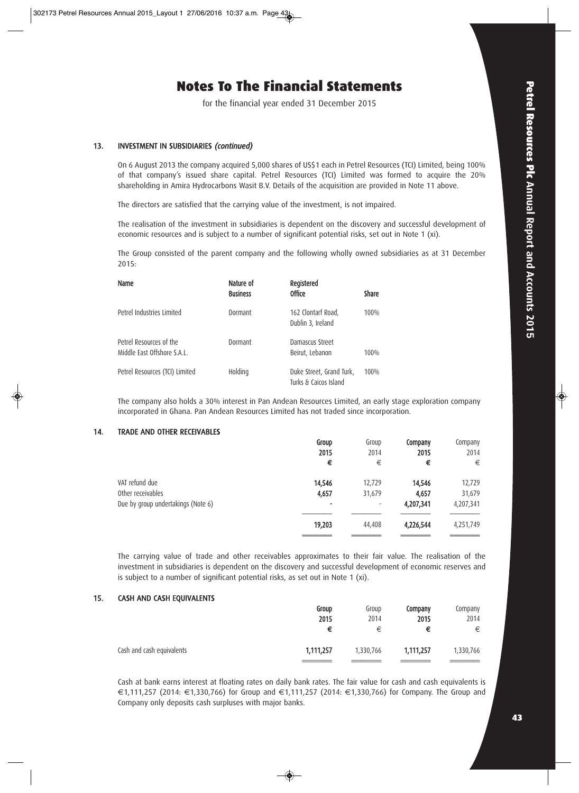for the financial year ended 31 December 2015

#### 13. INVESTMENT IN SUBSIDIARIES (continued)

On 6 August 2013 the company acquired 5,000 shares of US\$1 each in Petrel Resources (TCI) Limited, being 100% of that company's issued share capital. Petrel Resources (TCI) Limited was formed to acquire the 20% shareholding in Amira Hydrocarbons Wasit B.V. Details of the acquisition are provided in Note 11 above.

The directors are satisfied that the carrying value of the investment, is not impaired.

The realisation of the investment in subsidiaries is dependent on the discovery and successful development of economic resources and is subject to a number of significant potential risks, set out in Note 1 (xi).

The Group consisted of the parent company and the following wholly owned subsidiaries as at 31 December 2015:

| Name                                                   | Nature of<br><b>Business</b> | Registered<br><b>Office</b>                       | <b>Share</b> |
|--------------------------------------------------------|------------------------------|---------------------------------------------------|--------------|
| Petrel Industries Limited                              | Dormant                      | 162 Clontarf Road,<br>Dublin 3, Ireland           | 100%         |
| Petrel Resources of the<br>Middle East Offshore S.A.L. | Dormant                      | Damascus Street<br>Beirut, Lebanon                | 100%         |
| Petrel Resources (TCI) Limited                         | Holding                      | Duke Street, Grand Turk,<br>Turks & Caicos Island | 100%         |

The company also holds a 30% interest in Pan Andean Resources Limited, an early stage exploration company incorporated in Ghana. Pan Andean Resources Limited has not traded since incorporation.

#### 14. TRADE AND OTHER RECEIVABLES

|                                    | Group  | Group  | Company   | Company   |
|------------------------------------|--------|--------|-----------|-----------|
|                                    | 2015   | 2014   | 2015      | 2014      |
|                                    | €      | €      | €         | €         |
| VAT refund due                     | 14,546 | 12,729 | 14,546    | 12,729    |
| Other receivables                  | 4,657  | 31,679 | 4,657     | 31,679    |
| Due by group undertakings (Note 6) |        |        | 4,207,341 | 4,207,341 |
|                                    | 19,203 | 44,408 | 4,226,544 | 4,251,749 |
|                                    |        |        |           |           |

The carrying value of trade and other receivables approximates to their fair value. The realisation of the investment in subsidiaries is dependent on the discovery and successful development of economic reserves and is subject to a number of significant potential risks, as set out in Note 1 (xi).

#### 15. CASH AND CASH EQUIVALENTS

|                           | Group     | Group     | Company   | Company   |
|---------------------------|-----------|-----------|-----------|-----------|
|                           | 2015      | 2014      | 2015      | 2014      |
|                           | €         | €         | €         | €         |
| Cash and cash equivalents | 1,111,257 | 1,330,766 | 1,111,257 | 1,330,766 |

Cash at bank earns interest at floating rates on daily bank rates. The fair value for cash and cash equivalents is €1,111,257 (2014: €1,330,766) for Group and €1,111,257 (2014: €1,330,766) for Company. The Group and Company only deposits cash surpluses with major banks.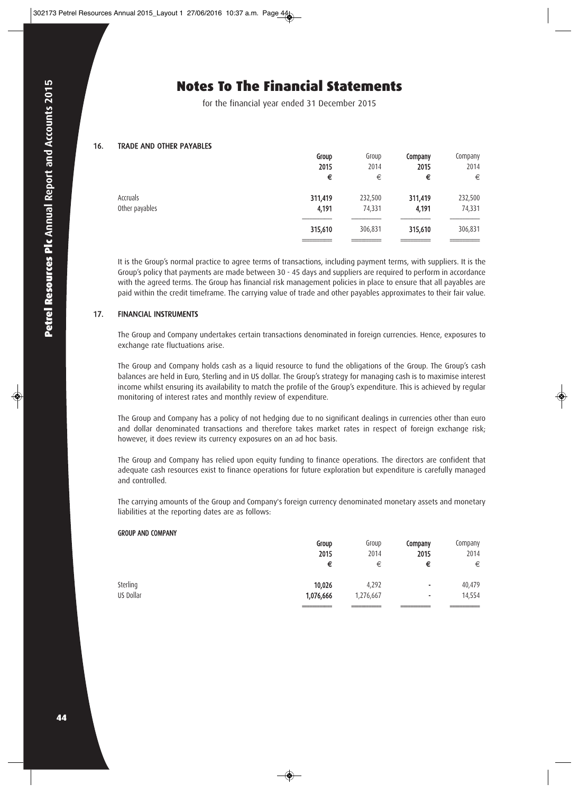for the financial year ended 31 December 2015

#### 16. TRADE AND OTHER PAYABLES

|                | Group   | Group   | Company | Company |
|----------------|---------|---------|---------|---------|
|                | 2015    | 2014    | 2015    | 2014    |
|                | €       | €       | €       | €       |
| Accruals       | 311,419 | 232,500 | 311,419 | 232,500 |
| Other payables | 4,191   | 74,331  | 4,191   | 74,331  |
|                | 315,610 | 306,831 | 315,610 | 306,831 |
|                |         |         |         |         |

It is the Group's normal practice to agree terms of transactions, including payment terms, with suppliers. It is the Group's policy that payments are made between 30 - 45 days and suppliers are required to perform in accordance with the agreed terms. The Group has financial risk management policies in place to ensure that all payables are paid within the credit timeframe. The carrying value of trade and other payables approximates to their fair value.

#### 17. FINANCIAL INSTRUMENTS

The Group and Company undertakes certain transactions denominated in foreign currencies. Hence, exposures to exchange rate fluctuations arise.

The Group and Company holds cash as a liquid resource to fund the obligations of the Group. The Group's cash balances are held in Euro, Sterling and in US dollar. The Group's strategy for managing cash is to maximise interest income whilst ensuring its availability to match the profile of the Group's expenditure. This is achieved by regular monitoring of interest rates and monthly review of expenditure.

The Group and Company has a policy of not hedging due to no significant dealings in currencies other than euro and dollar denominated transactions and therefore takes market rates in respect of foreign exchange risk; however, it does review its currency exposures on an ad hoc basis.

The Group and Company has relied upon equity funding to finance operations. The directors are confident that adequate cash resources exist to finance operations for future exploration but expenditure is carefully managed and controlled.

The carrying amounts of the Group and Company's foreign currency denominated monetary assets and monetary liabilities at the reporting dates are as follows:

#### GROUP AND COMPANY

|           | Group     | Group     | Company | Company |
|-----------|-----------|-----------|---------|---------|
|           | 2015      | 2014      | 2015    | 2014    |
|           | €         | €         | €       | €       |
| Sterling  | 10,026    | 4,292     | ۰       | 40,479  |
| US Dollar | 1,076,666 | 1,276,667 | ٠       | 14,554  |
|           |           |           |         |         |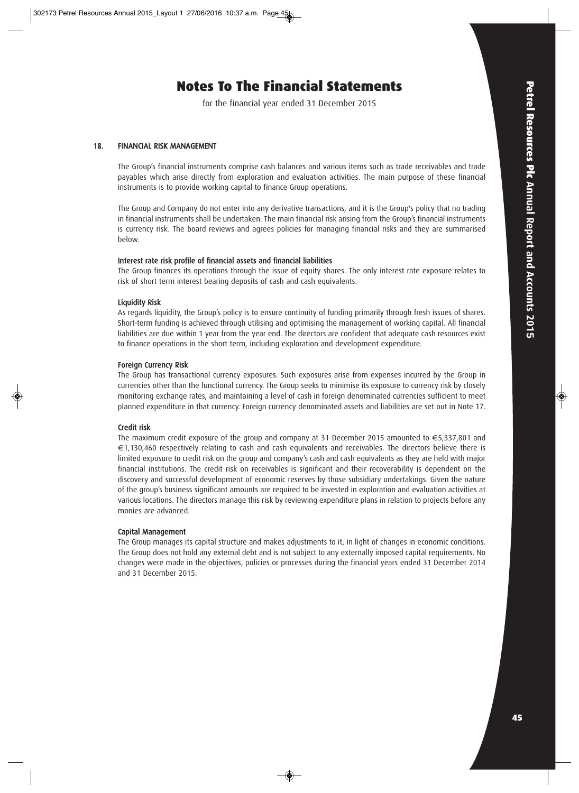for the financial year ended 31 December 2015

#### 18. FINANCIAL RISK MANAGEMENT

The Group's financial instruments comprise cash balances and various items such as trade receivables and trade payables which arise directly from exploration and evaluation activities. The main purpose of these financial instruments is to provide working capital to finance Group operations.

The Group and Company do not enter into any derivative transactions, and it is the Group's policy that no trading in financial instruments shall be undertaken. The main financial risk arising from the Group's financial instruments is currency risk. The board reviews and agrees policies for managing financial risks and they are summarised below.

#### Interest rate risk profile of financial assets and financial liabilities

The Group finances its operations through the issue of equity shares. The only interest rate exposure relates to risk of short term interest bearing deposits of cash and cash equivalents.

#### Liquidity Risk

As regards liquidity, the Group's policy is to ensure continuity of funding primarily through fresh issues of shares. Short-term funding is achieved through utilising and optimising the management of working capital. All financial liabilities are due within 1 year from the year end. The directors are confident that adequate cash resources exist to finance operations in the short term, including exploration and development expenditure.

#### Foreign Currency Risk

The Group has transactional currency exposures. Such exposures arise from expenses incurred by the Group in currencies other than the functional currency. The Group seeks to minimise its exposure to currency risk by closely monitoring exchange rates, and maintaining a level of cash in foreign denominated currencies sufficient to meet planned expenditure in that currency. Foreign currency denominated assets and liabilities are set out in Note 17.

#### Credit risk

The maximum credit exposure of the group and company at 31 December 2015 amounted to €5,337,801 and €1,130,460 respectively relating to cash and cash equivalents and receivables. The directors believe there is limited exposure to credit risk on the group and company's cash and cash equivalents as they are held with major financial institutions. The credit risk on receivables is significant and their recoverability is dependent on the discovery and successful development of economic reserves by those subsidiary undertakings. Given the nature of the group's business significant amounts are required to be invested in exploration and evaluation activities at various locations. The directors manage this risk by reviewing expenditure plans in relation to projects before any monies are advanced.

#### Capital Management

The Group manages its capital structure and makes adjustments to it, in light of changes in economic conditions. The Group does not hold any external debt and is not subject to any externally imposed capital requirements. No changes were made in the objectives, policies or processes during the financial years ended 31 December 2014 and 31 December 2015.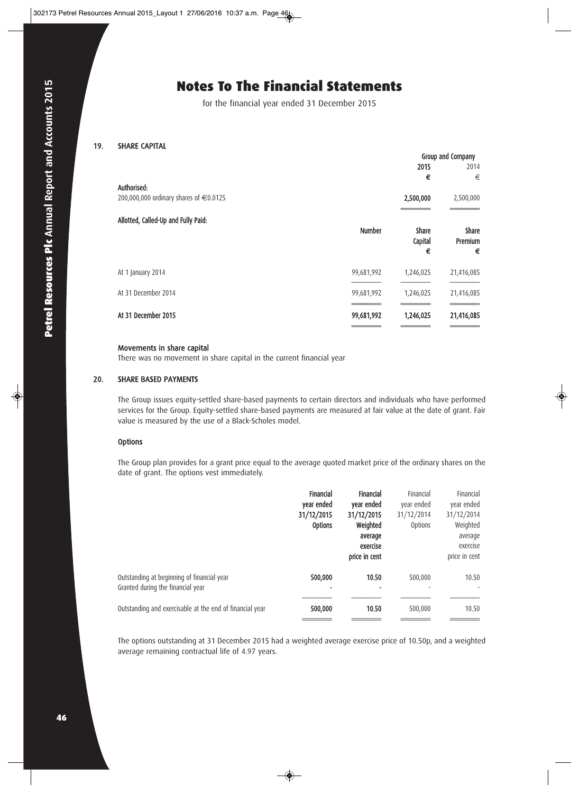for the financial year ended 31 December 2015

#### 19. SHARE CAPITAL

|                                             |               | Group and Company |              |
|---------------------------------------------|---------------|-------------------|--------------|
|                                             |               | 2015              | 2014         |
|                                             |               | €                 | €            |
| Authorised:                                 |               |                   |              |
| 200,000,000 ordinary shares of $\in$ 0.0125 |               | 2,500,000         | 2,500,000    |
| Allotted, Called-Up and Fully Paid:         |               |                   |              |
|                                             | <b>Number</b> | <b>Share</b>      | Share        |
|                                             |               | Capital<br>€      | Premium<br>€ |
| At 1 January 2014                           | 99,681,992    | 1,246,025         | 21,416,085   |
|                                             |               |                   |              |
| At 31 December 2014                         | 99,681,992    | 1,246,025         | 21,416,085   |
| At 31 December 2015                         | 99,681,992    | 1,246,025         | 21,416,085   |
|                                             |               |                   |              |

#### Movements in share capital

There was no movement in share capital in the current financial year

#### 20. SHARE BASED PAYMENTS

The Group issues equity-settled share-based payments to certain directors and individuals who have performed services for the Group. Equity-settled share-based payments are measured at fair value at the date of grant. Fair value is measured by the use of a Black-Scholes model.

#### **Options**

The Group plan provides for a grant price equal to the average quoted market price of the ordinary shares on the date of grant. The options vest immediately.

|                                                                                 | Financial<br>year ended<br>31/12/2015<br><b>Options</b> | Financial<br>year ended<br>31/12/2015<br>Weighted<br>average<br>exercise<br>price in cent | Financial<br>year ended<br>31/12/2014<br>Options | Financial<br>year ended<br>31/12/2014<br>Weighted<br>average<br>exercise<br>price in cent |
|---------------------------------------------------------------------------------|---------------------------------------------------------|-------------------------------------------------------------------------------------------|--------------------------------------------------|-------------------------------------------------------------------------------------------|
| Outstanding at beginning of financial year<br>Granted during the financial year | 500,000                                                 | 10.50                                                                                     | 500,000                                          | 10.50                                                                                     |
| Outstanding and exercisable at the end of financial year                        | 500,000                                                 | 10.50                                                                                     | 500,000                                          | 10.50                                                                                     |

The options outstanding at 31 December 2015 had a weighted average exercise price of 10.50p, and a weighted average remaining contractual life of 4.97 years.

◈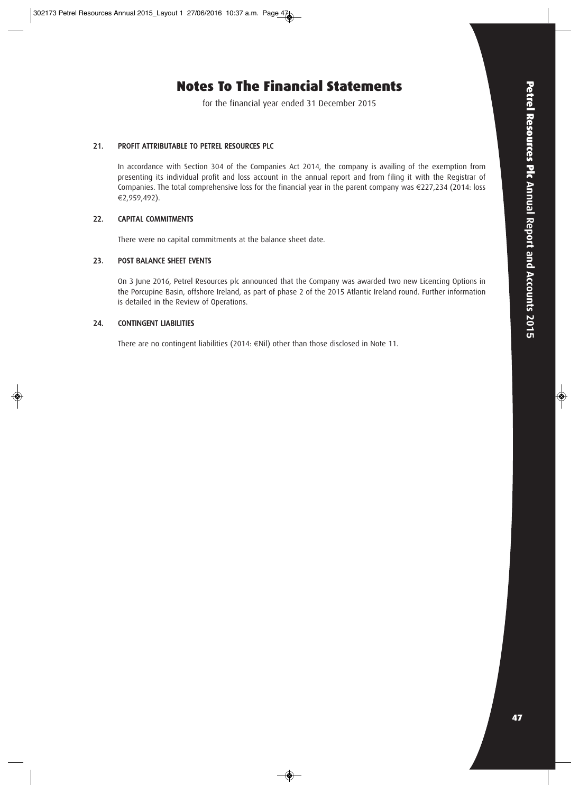for the financial year ended 31 December 2015

#### 21. PROFIT ATTRIBUTABLE TO PETREL RESOURCES PLC

In accordance with Section 304 of the Companies Act 2014, the company is availing of the exemption from presenting its individual profit and loss account in the annual report and from filing it with the Registrar of Companies. The total comprehensive loss for the financial year in the parent company was €227,234 (2014: loss €2,959,492).

#### 22. CAPITAL COMMITMENTS

There were no capital commitments at the balance sheet date.

#### 23. POST BALANCE SHEET EVENTS

On 3 June 2016, Petrel Resources plc announced that the Company was awarded two new Licencing Options in the Porcupine Basin, offshore Ireland, as part of phase 2 of the 2015 Atlantic Ireland round. Further information is detailed in the Review of Operations.

◈

#### 24. CONTINGENT LIABILITIES

There are no contingent liabilities (2014: €Nil) other than those disclosed in Note 11.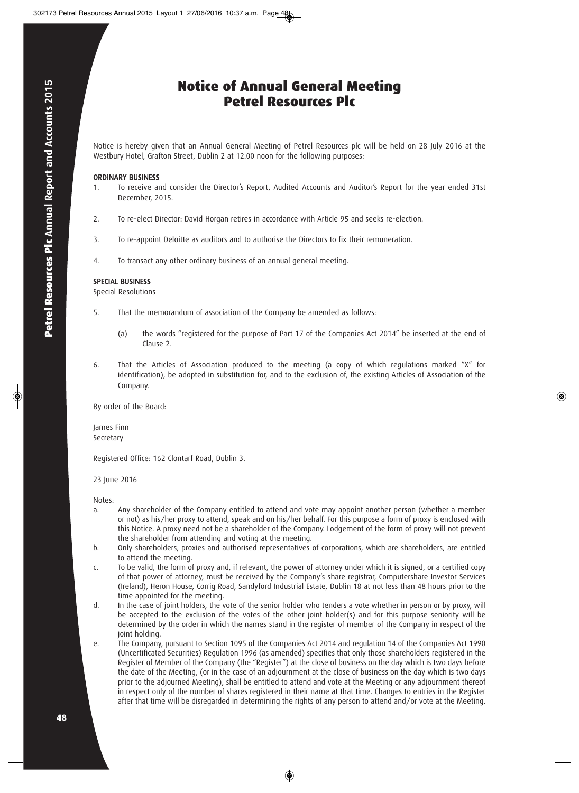# Notice of Annual General Meeting Petrel Resources Plc

Notice is hereby given that an Annual General Meeting of Petrel Resources plc will be held on 28 July 2016 at the Westbury Hotel, Grafton Street, Dublin 2 at 12.00 noon for the following purposes:

#### ORDINARY BUSINESS

- 1. To receive and consider the Director's Report, Audited Accounts and Auditor's Report for the year ended 31st December, 2015.
- 2. To re-elect Director: David Horgan retires in accordance with Article 95 and seeks re-election.
- 3. To re-appoint Deloitte as auditors and to authorise the Directors to fix their remuneration.
- 4. To transact any other ordinary business of an annual general meeting.

#### SPECIAL BUSINESS

Special Resolutions

- 5. That the memorandum of association of the Company be amended as follows:
	- (a) the words "registered for the purpose of Part 17 of the Companies Act 2014" be inserted at the end of Clause 2.
- 6. That the Articles of Association produced to the meeting (a copy of which regulations marked "X" for identification), be adopted in substitution for, and to the exclusion of, the existing Articles of Association of the Company.

By order of the Board:

James Finn Secretary

Registered Office: 162 Clontarf Road, Dublin 3.

23 June 2016

Notes:

- a. Any shareholder of the Company entitled to attend and vote may appoint another person (whether a member or not) as his/her proxy to attend, speak and on his/her behalf. For this purpose a form of proxy is enclosed with this Notice. A proxy need not be a shareholder of the Company. Lodgement of the form of proxy will not prevent the shareholder from attending and voting at the meeting.
- b. Only shareholders, proxies and authorised representatives of corporations, which are shareholders, are entitled to attend the meeting.
- c. To be valid, the form of proxy and, if relevant, the power of attorney under which it is signed, or a certified copy of that power of attorney, must be received by the Company's share registrar, Computershare Investor Services (Ireland), Heron House, Corrig Road, Sandyford Industrial Estate, Dublin 18 at not less than 48 hours prior to the time appointed for the meeting.
- d. In the case of joint holders, the vote of the senior holder who tenders a vote whether in person or by proxy, will be accepted to the exclusion of the votes of the other joint holder(s) and for this purpose seniority will be determined by the order in which the names stand in the register of member of the Company in respect of the joint holding.
- e. The Company, pursuant to Section 1095 of the Companies Act 2014 and regulation 14 of the Companies Act 1990 (Uncertificated Securities) Regulation 1996 (as amended) specifies that only those shareholders registered in the Register of Member of the Company (the "Register") at the close of business on the day which is two days before the date of the Meeting, (or in the case of an adjournment at the close of business on the day which is two days prior to the adjourned Meeting), shall be entitled to attend and vote at the Meeting or any adjournment thereof in respect only of the number of shares registered in their name at that time. Changes to entries in the Register after that time will be disregarded in determining the rights of any person to attend and/or vote at the Meeting.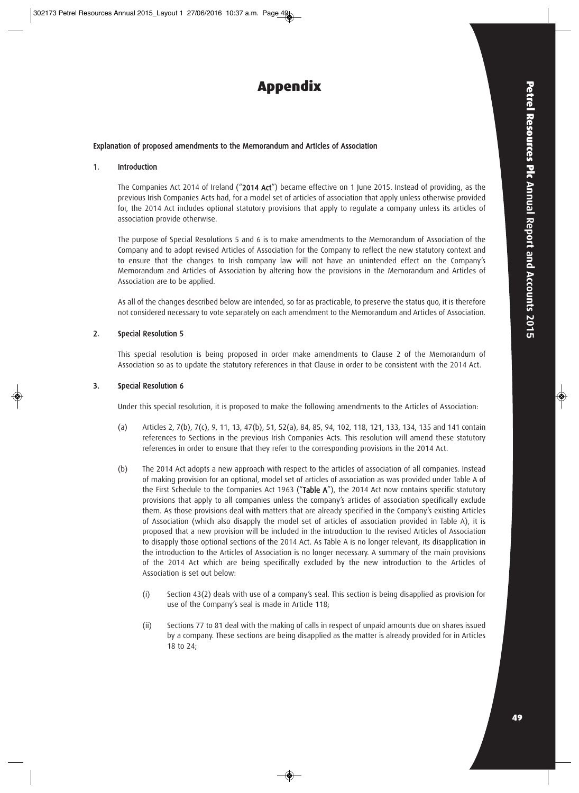# Appendix

#### Explanation of proposed amendments to the Memorandum and Articles of Association

#### 1. Introduction

The Companies Act 2014 of Ireland ("2014 Act") became effective on 1 June 2015. Instead of providing, as the previous Irish Companies Acts had, for a model set of articles of association that apply unless otherwise provided for, the 2014 Act includes optional statutory provisions that apply to regulate a company unless its articles of association provide otherwise.

The purpose of Special Resolutions 5 and 6 is to make amendments to the Memorandum of Association of the Company and to adopt revised Articles of Association for the Company to reflect the new statutory context and to ensure that the changes to Irish company law will not have an unintended effect on the Company's Memorandum and Articles of Association by altering how the provisions in the Memorandum and Articles of Association are to be applied.

As all of the changes described below are intended, so far as practicable, to preserve the status quo, it is therefore not considered necessary to vote separately on each amendment to the Memorandum and Articles of Association.

#### 2. Special Resolution 5

This special resolution is being proposed in order make amendments to Clause 2 of the Memorandum of Association so as to update the statutory references in that Clause in order to be consistent with the 2014 Act.

#### 3. Special Resolution 6

Under this special resolution, it is proposed to make the following amendments to the Articles of Association:

- (a) Articles 2, 7(b), 7(c), 9, 11, 13, 47(b), 51, 52(a), 84, 85, 94, 102, 118, 121, 133, 134, 135 and 141 contain references to Sections in the previous Irish Companies Acts. This resolution will amend these statutory references in order to ensure that they refer to the corresponding provisions in the 2014 Act.
- (b) The 2014 Act adopts a new approach with respect to the articles of association of all companies. Instead of making provision for an optional, model set of articles of association as was provided under Table A of the First Schedule to the Companies Act 1963 ("Table A"), the 2014 Act now contains specific statutory provisions that apply to all companies unless the company's articles of association specifically exclude them. As those provisions deal with matters that are already specified in the Company's existing Articles of Association (which also disapply the model set of articles of association provided in Table A), it is proposed that a new provision will be included in the introduction to the revised Articles of Association to disapply those optional sections of the 2014 Act. As Table A is no longer relevant, its disapplication in the introduction to the Articles of Association is no longer necessary. A summary of the main provisions of the 2014 Act which are being specifically excluded by the new introduction to the Articles of Association is set out below:
	- (i) Section 43(2) deals with use of a company's seal. This section is being disapplied as provision for use of the Company's seal is made in Article 118;
	- (ii) Sections 77 to 81 deal with the making of calls in respect of unpaid amounts due on shares issued by a company. These sections are being disapplied as the matter is already provided for in Articles 18 to 24;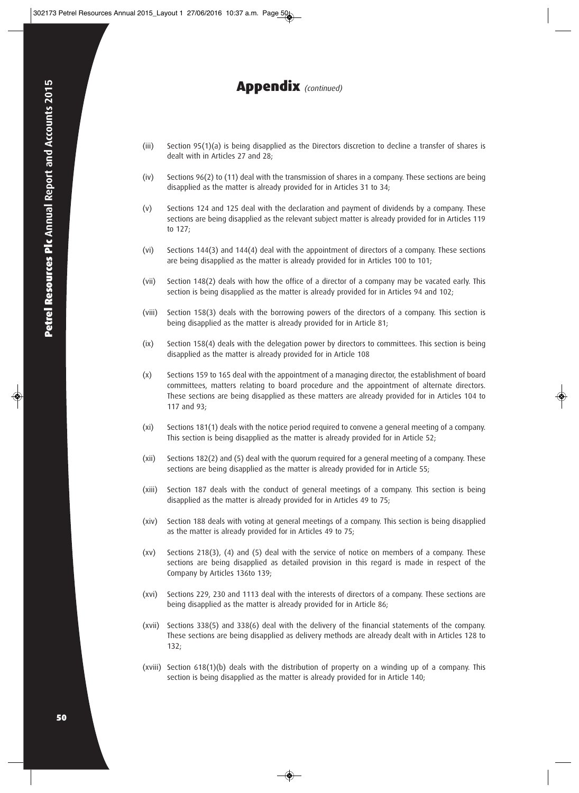## Appendix (continued)

- (iii) Section 95(1)(a) is being disapplied as the Directors discretion to decline a transfer of shares is dealt with in Articles 27 and 28;
- (iv) Sections 96(2) to (11) deal with the transmission of shares in a company. These sections are being disapplied as the matter is already provided for in Articles 31 to 34;
- (v) Sections 124 and 125 deal with the declaration and payment of dividends by a company. These sections are being disapplied as the relevant subject matter is already provided for in Articles 119 to 127;
- (vi) Sections 144(3) and 144(4) deal with the appointment of directors of a company. These sections are being disapplied as the matter is already provided for in Articles 100 to 101;
- (vii) Section 148(2) deals with how the office of a director of a company may be vacated early. This section is being disapplied as the matter is already provided for in Articles 94 and 102;
- (viii) Section 158(3) deals with the borrowing powers of the directors of a company. This section is being disapplied as the matter is already provided for in Article 81;
- (ix) Section 158(4) deals with the delegation power by directors to committees. This section is being disapplied as the matter is already provided for in Article 108
- (x) Sections 159 to 165 deal with the appointment of a managing director, the establishment of board committees, matters relating to board procedure and the appointment of alternate directors. These sections are being disapplied as these matters are already provided for in Articles 104 to 117 and 93;
- (xi) Sections 181(1) deals with the notice period required to convene a general meeting of a company. This section is being disapplied as the matter is already provided for in Article 52;
- (xii) Sections 182(2) and (5) deal with the quorum required for a general meeting of a company. These sections are being disapplied as the matter is already provided for in Article 55;
- (xiii) Section 187 deals with the conduct of general meetings of a company. This section is being disapplied as the matter is already provided for in Articles 49 to 75;
- (xiv) Section 188 deals with voting at general meetings of a company. This section is being disapplied as the matter is already provided for in Articles 49 to 75;
- (xv) Sections 218(3), (4) and (5) deal with the service of notice on members of a company. These sections are being disapplied as detailed provision in this regard is made in respect of the Company by Articles 136to 139;
- (xvi) Sections 229, 230 and 1113 deal with the interests of directors of a company. These sections are being disapplied as the matter is already provided for in Article 86;
- (xvii) Sections 338(5) and 338(6) deal with the delivery of the financial statements of the company. These sections are being disapplied as delivery methods are already dealt with in Articles 128 to 132;
- (xviii) Section 618(1)(b) deals with the distribution of property on a winding up of a company. This section is being disapplied as the matter is already provided for in Article 140;

 $\bigcirc$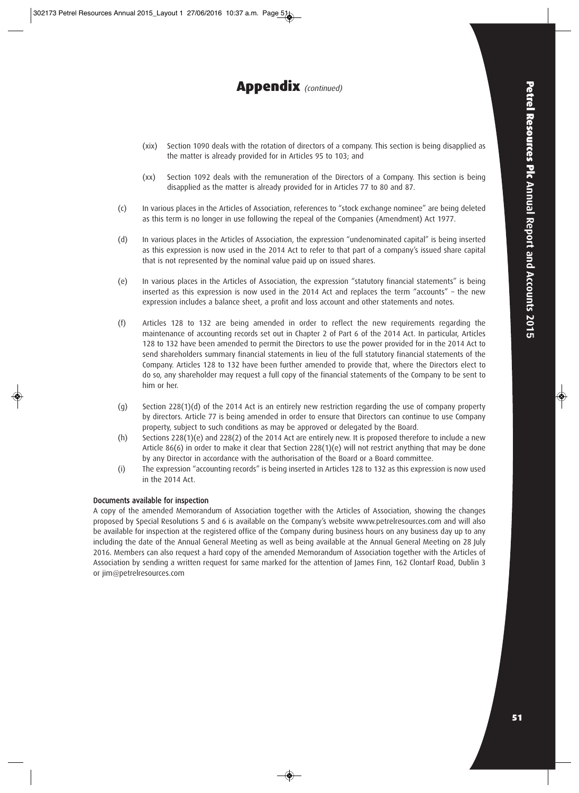- (xix) Section 1090 deals with the rotation of directors of a company. This section is being disapplied as the matter is already provided for in Articles 95 to 103; and
- (xx) Section 1092 deals with the remuneration of the Directors of a Company. This section is being disapplied as the matter is already provided for in Articles 77 to 80 and 87.
- (c) In various places in the Articles of Association, references to "stock exchange nominee" are being deleted as this term is no longer in use following the repeal of the Companies (Amendment) Act 1977.
- (d) In various places in the Articles of Association, the expression "undenominated capital" is being inserted as this expression is now used in the 2014 Act to refer to that part of a company's issued share capital that is not represented by the nominal value paid up on issued shares.
- (e) In various places in the Articles of Association, the expression "statutory financial statements" is being inserted as this expression is now used in the 2014 Act and replaces the term "accounts" – the new expression includes a balance sheet, a profit and loss account and other statements and notes.
- (f) Articles 128 to 132 are being amended in order to reflect the new requirements regarding the maintenance of accounting records set out in Chapter 2 of Part 6 of the 2014 Act. In particular, Articles 128 to 132 have been amended to permit the Directors to use the power provided for in the 2014 Act to send shareholders summary financial statements in lieu of the full statutory financial statements of the Company. Articles 128 to 132 have been further amended to provide that, where the Directors elect to do so, any shareholder may request a full copy of the financial statements of the Company to be sent to him or her.
- (g) Section 228(1)(d) of the 2014 Act is an entirely new restriction regarding the use of company property by directors. Article 77 is being amended in order to ensure that Directors can continue to use Company property, subject to such conditions as may be approved or delegated by the Board.
- (h) Sections 228(1)(e) and 228(2) of the 2014 Act are entirely new. It is proposed therefore to include a new Article 86(6) in order to make it clear that Section 228(1)(e) will not restrict anything that may be done by any Director in accordance with the authorisation of the Board or a Board committee.
- (i) The expression "accounting records" is being inserted in Articles 128 to 132 as this expression is now used in the 2014 Act.

#### Documents available for inspection

A copy of the amended Memorandum of Association together with the Articles of Association, showing the changes proposed by Special Resolutions 5 and 6 is available on the Company's website www.petrelresources.com and will also be available for inspection at the registered office of the Company during business hours on any business day up to any including the date of the Annual General Meeting as well as being available at the Annual General Meeting on 28 July 2016. Members can also request a hard copy of the amended Memorandum of Association together with the Articles of Association by sending a written request for same marked for the attention of James Finn, 162 Clontarf Road, Dublin 3 or jim@petrelresources.com